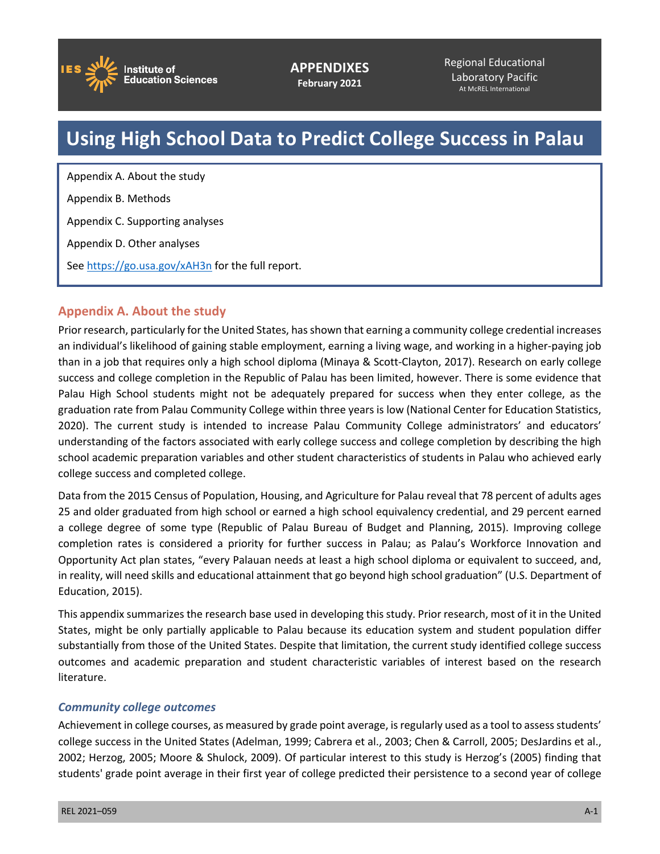

**APPENDIXES February 2021**

Regional Educational Laboratory Pacific At McREL International

# **Using High School Data to Predict College Success in Palau**

Appendix A. About the study Appendix B. Methods Appendix C. Supporting analyses Appendix D. Other analyses See<https://go.usa.gov/xAH3n>for the full report.

# **Appendix A. About the study**

Prior research, particularly for the United States, has shown that earning a community college credential increases an individual's likelihood of gaining stable employment, earning a living wage, and working in a higher-paying job than in a job that requires only a high school diploma (Minaya & Scott-Clayton, 2017). Research on early college success and college completion in the Republic of Palau has been limited, however. There is some evidence that Palau High School students might not be adequately prepared for success when they enter college, as the graduation rate from Palau Community College within three years is low (National Center for Education Statistics, 2020). The current study is intended to increase Palau Community College administrators' and educators' understanding of the factors associated with early college success and college completion by describing the high school academic preparation variables and other student characteristics of students in Palau who achieved early college success and completed college.

Data from the 2015 Census of Population, Housing, and Agriculture for Palau reveal that 78 percent of adults ages 25 and older graduated from high school or earned a high school equivalency credential, and 29 percent earned a college degree of some type (Republic of Palau Bureau of Budget and Planning, 2015). Improving college completion rates is considered a priority for further success in Palau; as Palau's Workforce Innovation and Opportunity Act plan states, "every Palauan needs at least a high school diploma or equivalent to succeed, and, in reality, will need skills and educational attainment that go beyond high school graduation" (U.S. Department of Education, 2015).

This appendix summarizes the research base used in developing this study. Prior research, most of it in the United States, might be only partially applicable to Palau because its education system and student population differ substantially from those of the United States. Despite that limitation, the current study identified college success outcomes and academic preparation and student characteristic variables of interest based on the research literature.

### *Community college outcomes*

Achievement in college courses, as measured by grade point average, is regularly used as a tool to assess students' college success in the United States (Adelman, 1999; Cabrera et al., 2003; Chen & Carroll, 2005; DesJardins et al., 2002; Herzog, 2005; Moore & Shulock, 2009). Of particular interest to this study is Herzog's (2005) finding that students' grade point average in their first year of college predicted their persistence to a second year of college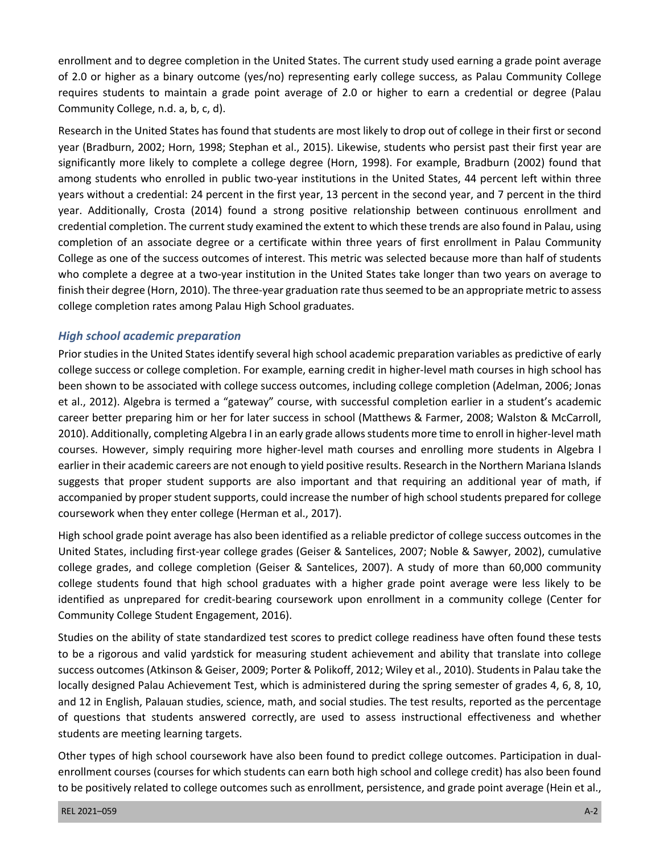enrollment and to degree completion in the United States. The current study used earning a grade point average requires students to maintain a grade point average of 2.0 or higher to earn a credential or degree (Palau Community College, n.d. a, b, c, d). of 2.0 or higher as a binary outcome (yes/no) representing early college success, as Palau Community College

 Research in the United States has found that students are most likely to drop out of college in their first or second year (Bradburn, 2002; Horn, 1998; Stephan et al., 2015). Likewise, students who persist past their first year are significantly more likely to complete a college degree (Horn, 1998). For example, Bradburn (2002) found that among students who enrolled in public two-year institutions in the United States, 44 percent left within three years without a credential: 24 percent in the first year, 13 percent in the second year, and 7 percent in the third credential completion. The current study examined the extent to which these trends are also found in Palau, using completion of an associate degree or a certificate within three years of first enrollment in Palau Community College as one of the success outcomes of interest. This metric was selected because more than half of students who complete a degree at a two-year institution in the United States take longer than two years on average to finish their degree (Horn, 2010). The three-year graduation rate thus seemed to be an appropriate metric to assess year. Additionally, Crosta (2014) found a strong positive relationship between continuous enrollment and college completion rates among Palau High School graduates.

## *High school academic preparation*

 Prior studies in the United States identify several high school academic preparation variables as predictive of early college success or college completion. For example, earning credit in higher-level math courses in high school has been shown to be associated with college success outcomes, including college completion (Adelman, 2006; Jonas et al., 2012). Algebra is termed a "gateway" course, with successful completion earlier in a student's academic 2010). Additionally, completing Algebra I in an early grade allows students more time to enroll in higher-level math courses. However, simply requiring more higher-level math courses and enrolling more students in Algebra I earlier in their academic careers are not enough to yield positive results. Research in the Northern Mariana Islands suggests that proper student supports are also important and that requiring an additional year of math, if accompanied by proper student supports, could increase the number of high school students prepared for college coursework when they enter college (Herman et al., 2017). career better preparing him or her for later success in school (Matthews & Farmer, 2008; Walston & McCarroll,

 High school grade point average has also been identified as a reliable predictor of college success outcomes in the United States, including first-year college grades (Geiser & Santelices, 2007; Noble & Sawyer, 2002), cumulative college grades, and college completion (Geiser & Santelices, 2007). A study of more than 60,000 community college students found that high school graduates with a higher grade point average were less likely to be identified as unprepared for credit-bearing coursework upon enrollment in a community college (Center for Community College Student Engagement, 2016).

 Studies on the ability of state standardized test scores to predict college readiness have often found these tests to be a rigorous and valid yardstick for measuring student achievement and ability that translate into college locally designed Palau Achievement Test, which is administered during the spring semester of grades 4, 6, 8, 10, and 12 in English, Palauan studies, science, math, and social studies. The test results, reported as the percentage students are meeting learning targets. success outcomes (Atkinson & Geiser, 2009; Porter & Polikoff, 2012; Wiley et al., 2010). Students in Palau take the of questions that students answered correctly, are used to assess instructional effectiveness and whether

 Other types of high school coursework have also been found to predict college outcomes. Participation in dual- enrollment courses (courses for which students can earn both high school and college credit) has also been found to be positively related to college outcomes such as enrollment, persistence, and grade point average (Hein et al.,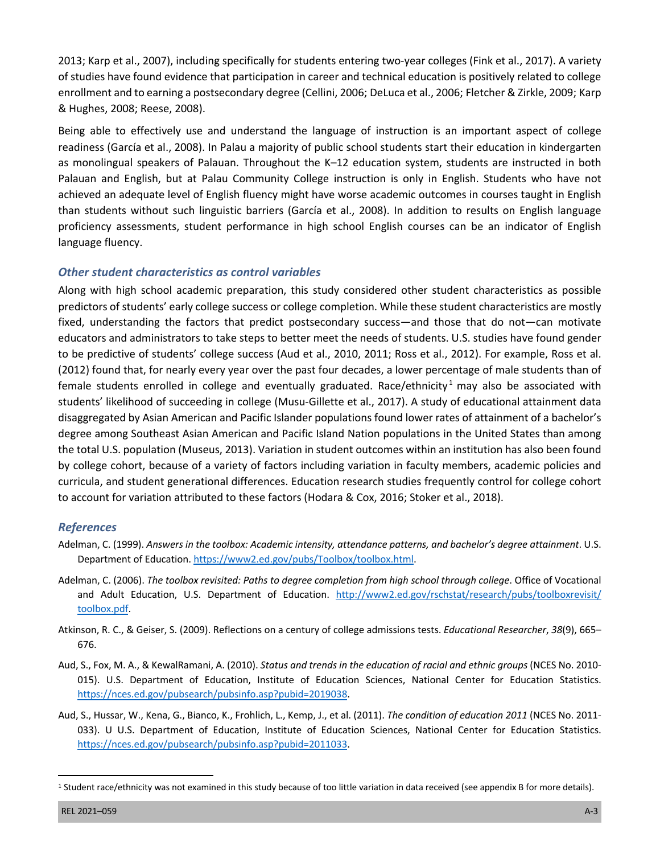2013; Karp et al., 2007), including specifically for students entering two-year colleges (Fink et al., 2017). A variety enrollment and to earning a postsecondary degree (Cellini, 2006; DeLuca et al., 2006; Fletcher & Zirkle, 2009; Karp of studies have found evidence that participation in career and technical education is positively related to college & Hughes, 2008; Reese, 2008).

 Being able to effectively use and understand the language of instruction is an important aspect of college readiness (García et al., 2008). In Palau a majority of public school students start their education in kindergarten as monolingual speakers of Palauan. Throughout the K–12 education system, students are instructed in both Palauan and English, but at Palau Community College instruction is only in English. Students who have not achieved an adequate level of English fluency might have worse academic outcomes in courses taught in English than students without such linguistic barriers (García et al., 2008). In addition to results on English language proficiency assessments, student performance in high school English courses can be an indicator of English language fluency.

# *Other student characteristics as control variables*

 Along with high school academic preparation, this study considered other student characteristics as possible predictors of students' early college success or college completion. While these student characteristics are mostly fixed, understanding the factors that predict postsecondary success—and those that do not—can motivate educators and administrators to take steps to better meet the needs of students. U.S. studies have found gender to be predictive of students' college success (Aud et al., 2010, 2011; Ross et al., 2012). For example, Ross et al. (2012) found that, for nearly every year over the past four decades, a lower percentage of male students than of female students enrolled in college and eventually graduated. Race/ethnicity<sup>1</sup> may also be associated with students' likelihood of succeeding in college (Musu-Gillette et al., 2017). A study of educational attainment data disaggregated by Asian American and Pacific Islander populations found lower rates of attainment of a bachelor's degree among Southeast Asian American and Pacific Island Nation populations in the United States than among the total U.S. population (Museus, 2013). Variation in student outcomes within an institution has also been found by college cohort, because of a variety of factors including variation in faculty members, academic policies and curricula, and student generational differences. Education research studies frequently control for college cohort to account for variation attributed to these factors (Hodara & Cox, 2016; Stoker et al., 2018).

### *References*

- Adelman, C. (1999). *Answers in the toolbox: Academic intensity, attendance patterns, and bachelor's degree attainment*. U.S. Department of Education. [https://www2.ed.gov/pubs/Toolbox/toolbox.html.](https://www2.ed.gov/pubs/Toolbox/toolbox.html)
- Adelman, C. (2006). *The toolbox revisited: Paths to degree completion from high school through college*. Office of Vocational and Adult Education, U.S. Department of Education. http://www2.ed.gov/rschstat/research/pubs/toolboxrevisit/ [toolbox.pdf.](http://www2.ed.gov/rschstat/research/pubs/toolboxrevisit/toolbox.pdf)
- Atkinson, R. C., & Geiser, S. (2009). Reflections on a century of college admissions tests. *Educational Researcher*, *38*(9), 665– 676.
- Aud, S., Fox, M. A., & KewalRamani, A. (2010). *Status and trends in the education of racial and ethnic groups* (NCES No. 2010- 015). U.S. Department of Education, Institute of Education Sciences, National Center for Education Statistics. [https://nces.ed.gov/pubsearch/pubsinfo.asp?pubid=2019038.](https://nces.ed.gov/pubsearch/pubsinfo.asp?pubid=2019038)
- Aud, S., Hussar, W., Kena, G., Bianco, K., Frohlich, L., Kemp, J., et al. (2011). *The condition of education 2011* (NCES No. 2011- 033). U U.S. Department of Education, Institute of Education Sciences, National Center for Education Statistics. <https://nces.ed.gov/pubsearch/pubsinfo.asp?pubid=2011033>.

 1 Student race/ethnicity was not examined in this study because of too little variation in data received (see appendix B for more details).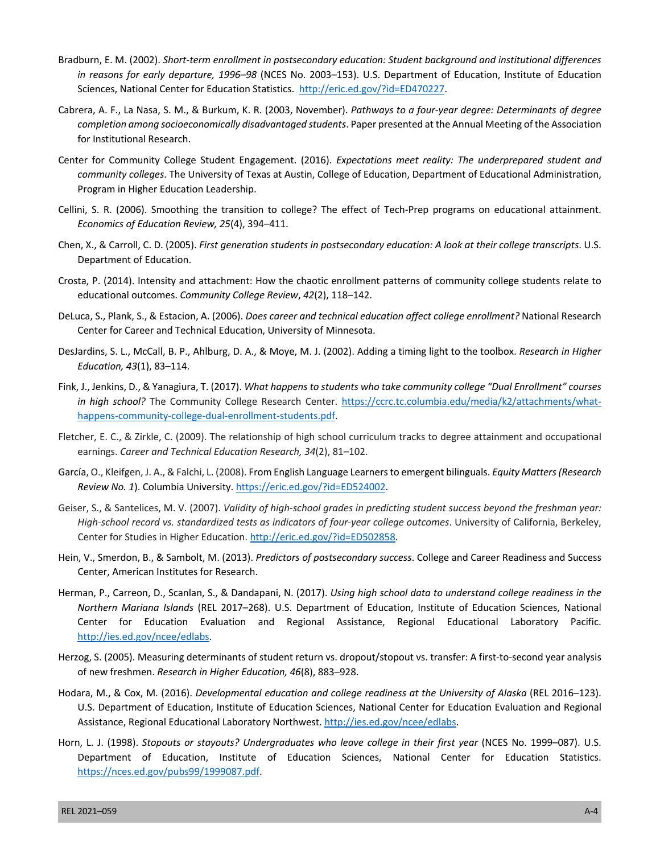- Bradburn, E. M. (2002). *Short-term enrollment in postsecondary education: Student background and institutional differences in reasons for early departure, 1996–98* (NCES No. 2003–153). U.S. Department of Education, Institute of Education Sciences, National Center for Education Statistics. [http://eric.ed.gov/?id=ED470227.](http://eric.ed.gov/?id=ED470227)
- Cabrera, A. F., La Nasa, S. M., & Burkum, K. R. (2003, November). *Pathways to a four-year degree: Determinants of degree completion among socioeconomically disadvantaged students*. Paper presented at the Annual Meeting of the Association for Institutional Research.
- Center for Community College Student Engagement. (2016). *Expectations meet reality: The underprepared student and community colleges*. The University of Texas at Austin, College of Education, Department of Educational Administration, Program in Higher Education Leadership.
- Cellini, S. R. (2006). Smoothing the transition to college? The effect of Tech-Prep programs on educational attainment. *Economics of Education Review, 25*(4), 394–411.
- Chen, X., & Carroll, C. D. (2005). *First generation students in postsecondary education: A look at their college transcripts*. U.S. Department of Education.
- Crosta, P. (2014). Intensity and attachment: How the chaotic enrollment patterns of community college students relate to educational outcomes. *Community College Review*, *42*(2), 118–142.
- DeLuca, S., Plank, S., & Estacion, A. (2006). *Does career and technical education affect college enrollment?* National Research Center for Career and Technical Education, University of Minnesota.
- DesJardins, S. L., McCall, B. P., Ahlburg, D. A., & Moye, M. J. (2002). Adding a timing light to the toolbox. *Research in Higher Education, 43*(1), 83–114.
- Fink, J., Jenkins, D., & Yanagiura, T. (2017). *What happens to students who take community college "Dual Enrollment" courses in high school?* The Community College Research Center. [https://ccrc.tc.columbia.edu/media/k2/attachments/what](https://ccrc.tc.columbia.edu/media/k2/attachments/whathappens-community-college-dual-enrollment-students.pdf)[happens-community-college-dual-enrollment-students.pdf.](https://ccrc.tc.columbia.edu/media/k2/attachments/whathappens-community-college-dual-enrollment-students.pdf)
- Fletcher, E. C., & Zirkle, C. (2009). The relationship of high school curriculum tracks to degree attainment and occupational earnings. *Career and Technical Education Research, 34*(2), 81–102.
- García, O., Kleifgen, J. A., & Falchi, L. (2008). From English Language Learners to emergent bilinguals. *Equity Matters (Research Review No. 1*). Columbia University. [https://eric.ed.gov/?id=ED524002.](https://eric.ed.gov/?id=ED524002)
- Geiser, S., & Santelices, M. V. (2007). *Validity of high-school grades in predicting student success beyond the freshman year: High-school record vs. standardized tests as indicators of four-year college outcomes*. University of California, Berkeley, Center for Studies in Higher Education. [http://eric.ed.gov/?id=ED502858.](http://eric.ed.gov/?id=ED502858)
- Hein, V., Smerdon, B., & Sambolt, M. (2013). *Predictors of postsecondary success*. College and Career Readiness and Success Center, American Institutes for Research.
- Herman, P., Carreon, D., Scanlan, S., & Dandapani, N. (2017). *Using high school data to understand college readiness in the Northern Mariana Islands* (REL 2017–268). U.S. Department of Education, Institute of Education Sciences, National Center for Education Evaluation and Regional Assistance, Regional Educational Laboratory Pacific. <http://ies.ed.gov/ncee/edlabs>.
- Herzog, S. (2005). Measuring determinants of student return vs. dropout/stopout vs. transfer: A first-to-second year analysis of new freshmen. *Research in Higher Education, 46*(8), 883–928.
- Hodara, M., & Cox, M. (2016). *Developmental education and college readiness at the University of Alaska* (REL 2016–123). U.S. Department of Education, Institute of Education Sciences, National Center for Education Evaluation and Regional Assistance, Regional Educational Laboratory Northwest. [http://ies.ed.gov/ncee/edlabs.](http://ies.ed.gov/ncee/edlabs)
- Horn, L. J. (1998). *Stopouts or stayouts? Undergraduates who leave college in their first year* (NCES No. 1999–087). U.S. Department of Education, Institute of Education Sciences, National Center for Education Statistics. [https://nces.ed.gov/pubs99/1999087.pdf.](https://nces.ed.gov/pubs99/1999087.pdf)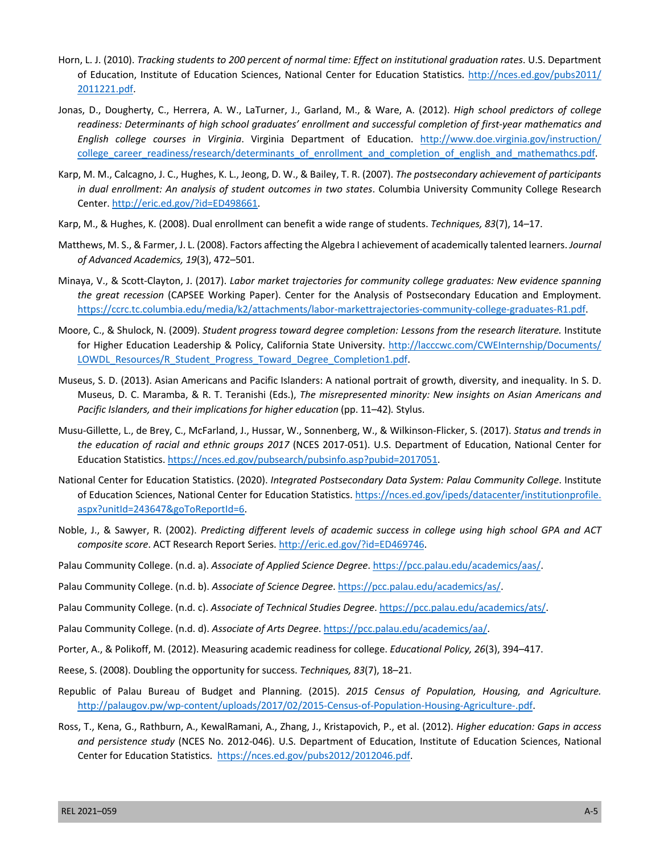- Horn, L. J. (2010). *Tracking students to 200 percent of normal time: Effect on institutional graduation rates*. U.S. Department of Education, Institute of Education Sciences, National Center for Education Statistics. [http://nces.ed.gov/pubs2011/](http://nces.ed.gov/pubs2011/2011221.pdf)  [2011221.pdf.](http://nces.ed.gov/pubs2011/2011221.pdf)
- Jonas, D., Dougherty, C., Herrera, A. W., LaTurner, J., Garland, M., & Ware, A. (2012). *High school predictors of college readiness: Determinants of high school graduates' enrollment and successful completion of first-year mathematics and English college courses in Virginia*. Virginia Department of Education. [http://www.doe.virginia.gov/instruction/](http://www.doe.virginia.gov/instruction/college_career_readiness/research/determinants_of_enrollment_and_completion_of_english_and_mathemathcs.pdf)  [college\\_career\\_readiness/research/determinants\\_of\\_enrollment\\_and\\_completion\\_of\\_english\\_and\\_mathemathcs.pdf.](http://www.doe.virginia.gov/instruction/college_career_readiness/research/determinants_of_enrollment_and_completion_of_english_and_mathemathcs.pdf)
- Karp, M. M., Calcagno, J. C., Hughes, K. L., Jeong, D. W., & Bailey, T. R. (2007). *The postsecondary achievement of participants in dual enrollment: An analysis of student outcomes in two states*. Columbia University Community College Research Center. [http://eric.ed.gov/?id=ED498661.](http://eric.ed.gov/?id=ED498661)
- Karp, M., & Hughes, K. (2008). Dual enrollment can benefit a wide range of students. *Techniques, 83*(7), 14–17.
- Matthews, M. S., & Farmer, J. L. (2008). Factors affecting the Algebra I achievement of academically talented learners. *Journal of Advanced Academics, 19*(3), 472–501.
- Minaya, V., & Scott-Clayton, J. (2017). *Labor market trajectories for community college graduates: New evidence spanning the great recession* (CAPSEE Working Paper). Center for the Analysis of Postsecondary Education and Employment. <https://ccrc.tc.columbia.edu/media/k2/attachments/labor-markettrajectories-community-college-graduates-R1.pdf>.
- Moore, C., & Shulock, N. (2009). *Student progress toward degree completion: Lessons from the research literature.* Institute for Higher Education Leadership & Policy, California State University. http://lacccwc.com/CWEInternship/Documents/ LOWDL Resources/R Student Progress Toward Degree Completion1.pdf.
- Museus, S. D. (2013). Asian Americans and Pacific Islanders: A national portrait of growth, diversity, and inequality. In S. D. Museus, D. C. Maramba, & R. T. Teranishi (Eds.), *The misrepresented minority: New insights on Asian Americans and Pacific Islanders, and their implications for higher education (pp. 11-42). Stylus.*
- Musu-Gillette, L., de Brey, C., McFarland, J., Hussar, W., Sonnenberg, W., & Wilkinson-Flicker, S. (2017). *Status and trends in the education of racial and ethnic groups 2017* (NCES 2017-051). U.S. Department of Education, National Center for Education Statistics[. https://nces.ed.gov/pubsearch/pubsinfo.asp?pubid=2017051.](https://nces.ed.gov/pubsearch/pubsinfo.asp?pubid=2017051)
- National Center for Education Statistics. (2020). *Integrated Postsecondary Data System: Palau Community College*. Institute of Education Sciences, National Center for Education Statistics. [https://nces.ed.gov/ipeds/datacenter/institutionprofile.](https://nces.ed.gov/ipeds/datacenter/institutionprofile.aspx?unitId=243647&goToReportId=6)  [aspx?unitId=243647&goToReportId=6.](https://nces.ed.gov/ipeds/datacenter/institutionprofile.aspx?unitId=243647&goToReportId=6)
- Noble, J., & Sawyer, R. (2002). *Predicting different levels of academic success in college using high school GPA and ACT composite score*. ACT Research Report Series. [http://eric.ed.gov/?id=ED469746.](http://eric.ed.gov/?id=ED469746)
- Palau Community College. (n.d. a). *Associate of Applied Science Degree*[. https://pcc.palau.edu/academics/aas/.](https://pcc.palau.edu/academics/aas/)
- Palau Community College. (n.d. b). *Associate of Science Degree*. [https://pcc.palau.edu/academics/as/.](https://pcc.palau.edu/academics/as/)
- Palau Community College. (n.d. c). *Associate of Technical Studies Degree*. <https://pcc.palau.edu/academics/ats/>.
- Palau Community College. (n.d. d). *Associate of Arts Degree*.<https://pcc.palau.edu/academics/aa/>.
- Porter, A., & Polikoff, M. (2012). Measuring academic readiness for college. *Educational Policy, 26*(3), 394–417.
- Reese, S. (2008). Doubling the opportunity for success. *Techniques, 83*(7), 18–21.
- Republic of Palau Bureau of Budget and Planning. (2015). *2015 Census of Population, Housing, and Agriculture.*  [http://palaugov.pw/wp-content/uploads/2017/02/2015-Census-of-Population-Housing-Agriculture-.pdf.](http://palaugov.pw/wp-content/uploads/2017/02/2015-Census-of-Population-Housing-Agriculture-.pdf)
- Ross, T., Kena, G., Rathburn, A., KewalRamani, A., Zhang, J., Kristapovich, P., et al. (2012). *Higher education: Gaps in access and persistence study* (NCES No. 2012-046). U.S. Department of Education, Institute of Education Sciences, National Center for Education Statistics. [https://nces.ed.gov/pubs2012/2012046.pdf.](https://nces.ed.gov/pubs2012/2012046.pdf)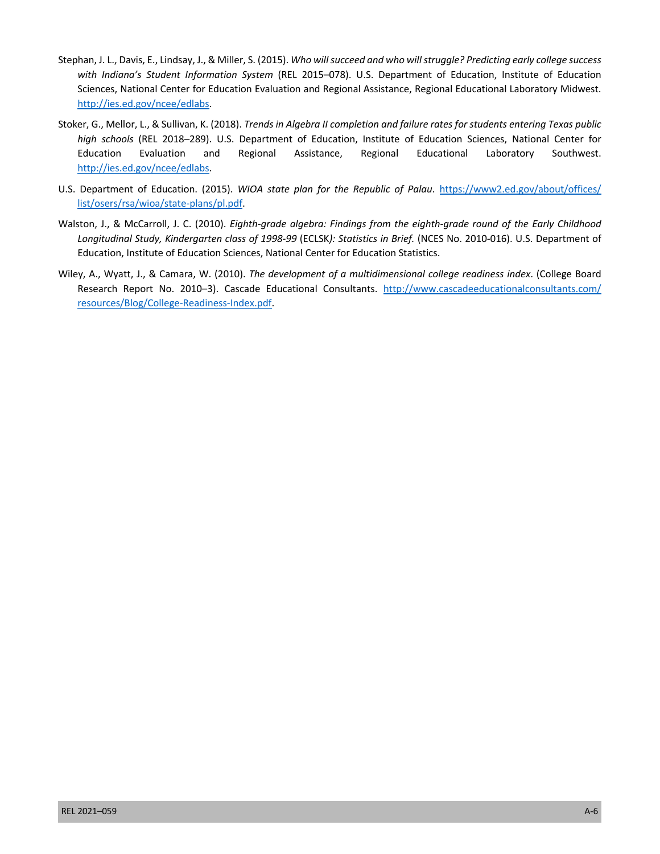- Stephan, J. L., Davis, E., Lindsay, J., & Miller, S. (2015). *Who will succeed and who will struggle? Predicting early college success with Indiana's Student Information System* (REL 2015–078). U.S. Department of Education, Institute of Education Sciences, National Center for Education Evaluation and Regional Assistance, Regional Educational Laboratory Midwest. <http://ies.ed.gov/ncee/edlabs>.
- Stoker, G., Mellor, L., & Sullivan, K. (2018). *Trends in Algebra II completion and failure rates for students entering Texas public high schools* (REL 2018–289). U.S. Department of Education, Institute of Education Sciences, National Center for Assistance, Education Evaluation and Regional Assistance, Regional Educational Laboratory Southwest. <http://ies.ed.gov/ncee/edlabs>.
- U.S. Department of Education. (2015). *WIOA state plan for the Republic of Palau*. [https://www2.ed.gov/about/offices/](https://www2.ed.gov/about/offices/list/osers/rsa/wioa/state-plans/pl.pdf)  [list/osers/rsa/wioa/state-plans/pl.pdf.](https://www2.ed.gov/about/offices/list/osers/rsa/wioa/state-plans/pl.pdf)
- Walston, J., & McCarroll, J. C. (2010). *Eighth-grade algebra: Findings from the eighth-grade round of the Early Childhood Longitudinal Study, Kindergarten class of 1998-99* (ECLSK*): Statistics in Brief.* (NCES No. 2010-016). U.S. Department of Education, Institute of Education Sciences, National Center for Education Statistics.
- Wiley, A., Wyatt, J., & Camara, W. (2010). *The development of a multidimensional college readiness index*. (College Board Research Report No. 2010–3). Cascade Educational Consultants. http://www.cascadeeducationalconsultants.com/ [resources/Blog/College-Readiness-Index.pdf.](http://www.cascadeeducationalconsultants.com/resources/Blog/College-Readiness-Index.pdf)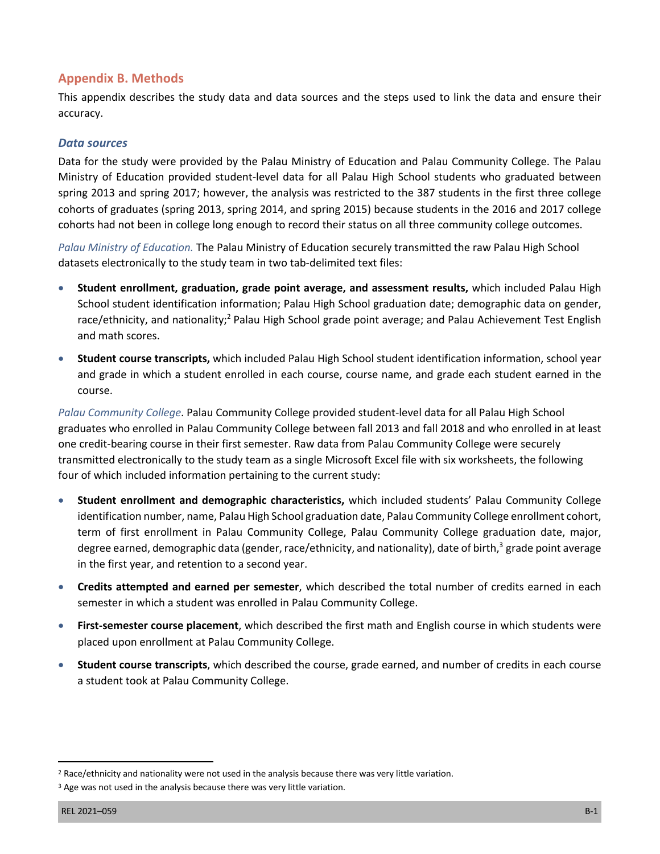## **Appendix B. Methods**

 This appendix describes the study data and data sources and the steps used to link the data and ensure their accuracy.

## *Data sources*

 Data for the study were provided by the Palau Ministry of Education and Palau Community College. The Palau Ministry of Education provided student-level data for all Palau High School students who graduated between spring 2013 and spring 2017; however, the analysis was restricted to the 387 students in the first three college cohorts of graduates (spring 2013, spring 2014, and spring 2015) because students in the 2016 and 2017 college cohorts had not been in college long enough to record their status on all three community college outcomes.

 *Palau Ministry of Education.* The Palau Ministry of Education securely transmitted the raw Palau High School datasets electronically to the study team in two tab-delimited text files:

- • **Student enrollment, graduation, grade point average, and assessment results,** which included Palau High School student identification information; Palau High School graduation date; demographic data on gender, race/ethnicity, and nationality;<sup>2</sup> Palau High School grade point average; and Palau Achievement Test English and math scores.
- • **Student course transcripts,** which included Palau High School student identification information, school year and grade in which a student enrolled in each course, course name, and grade each student earned in the course.

 *Palau Community College*. Palau Community College provided student-level data for all Palau High School graduates who enrolled in Palau Community College between fall 2013 and fall 2018 and who enrolled in at least one credit-bearing course in their first semester. Raw data from Palau Community College were securely transmitted electronically to the study team as a single Microsoft Excel file with six worksheets, the following four of which included information pertaining to the current study:

- • **Student enrollment and demographic characteristics,** which included students' Palau Community College identification number, name, Palau High School graduation date, Palau Community College enrollment cohort, term of first enrollment in Palau Community College, Palau Community College graduation date, major, degree earned, demographic data (gender, race/ethnicity, and nationality), date of birth,<sup>3</sup> grade point average in the first year, and retention to a second year.
- • **Credits attempted and earned per semester**, which described the total number of credits earned in each semester in which a student was enrolled in Palau Community College.
- • **First-semester course placement**, which described the first math and English course in which students were placed upon enrollment at Palau Community College.
- • **Student course transcripts**, which described the course, grade earned, and number of credits in each course a student took at Palau Community College.

<sup>&</sup>lt;sup>2</sup> Race/ethnicity and nationality were not used in the analysis because there was very little variation.

<sup>&</sup>lt;sup>3</sup> Age was not used in the analysis because there was very little variation.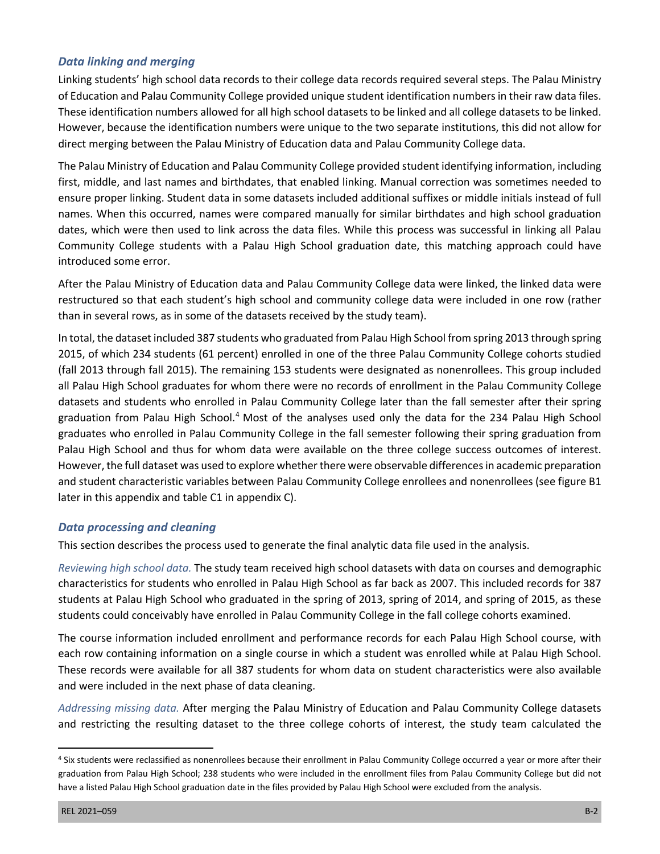## *Data linking and merging*

 Linking students' high school data records to their college data records required several steps. The Palau Ministry of Education and Palau Community College provided unique student identification numbers in their raw data files. These identification numbers allowed for all high school datasets to be linked and all college datasets to be linked. direct merging between the Palau Ministry of Education data and Palau Community College data. However, because the identification numbers were unique to the two separate institutions, this did not allow for

 The Palau Ministry of Education and Palau Community College provided student identifying information, including first, middle, and last names and birthdates, that enabled linking. Manual correction was sometimes needed to ensure proper linking. Student data in some datasets included additional suffixes or middle initials instead of full names. When this occurred, names were compared manually for similar birthdates and high school graduation dates, which were then used to link across the data files. While this process was successful in linking all Palau Community College students with a Palau High School graduation date, this matching approach could have introduced some error.

 After the Palau Ministry of Education data and Palau Community College data were linked, the linked data were restructured so that each student's high school and community college data were included in one row (rather than in several rows, as in some of the datasets received by the study team).

 In total, the dataset included 387 students who graduated from Palau High School from spring 2013 through spring 2015, of which 234 students (61 percent) enrolled in one of the three Palau Community College cohorts studied (fall 2013 through fall 2015). The remaining 153 students were designated as nonenrollees. This group included all Palau High School graduates for whom there were no records of enrollment in the Palau Community College datasets and students who enrolled in Palau Community College later than the fall semester after their spring graduation from Palau High School.<sup>4</sup> Most of the analyses used only the data for the 234 Palau High School graduates who enrolled in Palau Community College in the fall semester following their spring graduation from Palau High School and thus for whom data were available on the three college success outcomes of interest. However, the full dataset was used to explore whether there were observable differences in academic preparation and student characteristic variables between Palau Community College enrollees and nonenrollees (see figure B1 later in this appendix and table C1 in appendix C).

### *Data processing and cleaning*

This section describes the process used to generate the final analytic data file used in the analysis.

 *Reviewing high school data.* The study team received high school datasets with data on courses and demographic characteristics for students who enrolled in Palau High School as far back as 2007. This included records for 387 students at Palau High School who graduated in the spring of 2013, spring of 2014, and spring of 2015, as these students could conceivably have enrolled in Palau Community College in the fall college cohorts examined.

 The course information included enrollment and performance records for each Palau High School course, with each row containing information on a single course in which a student was enrolled while at Palau High School. These records were available for all 387 students for whom data on student characteristics were also available and were included in the next phase of data cleaning.

 *Addressing missing data.* After merging the Palau Ministry of Education and Palau Community College datasets and restricting the resulting dataset to the three college cohorts of interest, the study team calculated the

 4 Six students were reclassified as nonenrollees because their enrollment in Palau Community College occurred a year or more after their graduation from Palau High School; 238 students who were included in the enrollment files from Palau Community College but did not have a listed Palau High School graduation date in the files provided by Palau High School were excluded from the analysis.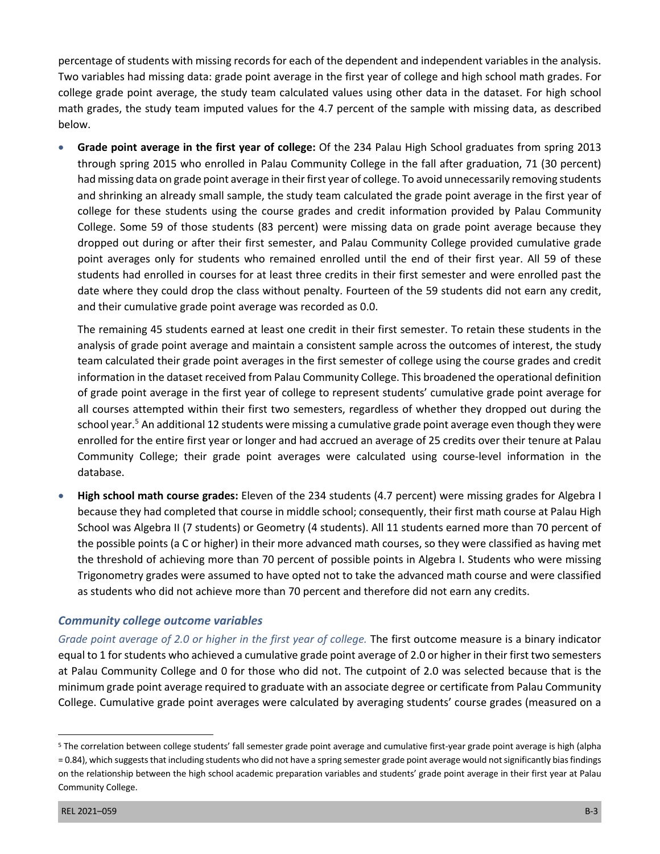percentage of students with missing records for each of the dependent and independent variables in the analysis. Two variables had missing data: grade point average in the first year of college and high school math grades. For college grade point average, the study team calculated values using other data in the dataset. For high school math grades, the study team imputed values for the 4.7 percent of the sample with missing data, as described below.

 • **Grade point average in the first year of college:** Of the 234 Palau High School graduates from spring 2013 through spring 2015 who enrolled in Palau Community College in the fall after graduation, 71 (30 percent) had missing data on grade point average in their first year of college. To avoid unnecessarily removing students and shrinking an already small sample, the study team calculated the grade point average in the first year of college for these students using the course grades and credit information provided by Palau Community College. Some 59 of those students (83 percent) were missing data on grade point average because they point averages only for students who remained enrolled until the end of their first year. All 59 of these students had enrolled in courses for at least three credits in their first semester and were enrolled past the date where they could drop the class without penalty. Fourteen of the 59 students did not earn any credit, and their cumulative grade point average was recorded as 0.0. dropped out during or after their first semester, and Palau Community College provided cumulative grade

 The remaining 45 students earned at least one credit in their first semester. To retain these students in the analysis of grade point average and maintain a consistent sample across the outcomes of interest, the study team calculated their grade point averages in the first semester of college using the course grades and credit information in the dataset received from Palau Community College. This broadened the operational definition of grade point average in the first year of college to represent students' cumulative grade point average for school year.<sup>5</sup> An additional 12 students were missing a cumulative grade point average even though they were enrolled for the entire first year or longer and had accrued an average of 25 credits over their tenure at Palau Community College; their grade point averages were calculated using course-level information in the all courses attempted within their first two semesters, regardless of whether they dropped out during the database.

 • **High school math course grades:** Eleven of the 234 students (4.7 percent) were missing grades for Algebra I because they had completed that course in middle school; consequently, their first math course at Palau High School was Algebra II (7 students) or Geometry (4 students). All 11 students earned more than 70 percent of the possible points (a C or higher) in their more advanced math courses, so they were classified as having met the threshold of achieving more than 70 percent of possible points in Algebra I. Students who were missing Trigonometry grades were assumed to have opted not to take the advanced math course and were classified as students who did not achieve more than 70 percent and therefore did not earn any credits.

## *Community college outcome variables*

Grade point average of 2.0 or higher in the first year of college. The first outcome measure is a binary indicator equal to 1 for students who achieved a cumulative grade point average of 2.0 or higher in their first two semesters at Palau Community College and 0 for those who did not. The cutpoint of 2.0 was selected because that is the minimum grade point average required to graduate with an associate degree or certificate from Palau Community College. Cumulative grade point averages were calculated by averaging students' course grades (measured on a

<sup>&</sup>lt;sup>5</sup> The correlation between college students' fall semester grade point average and cumulative first-year grade point average is high (alpha = 0.84), which suggests that including students who did not have a spring semester grade point average would not significantly bias findings on the relationship between the high school academic preparation variables and students' grade point average in their first year at Palau Community College.<br>REL 2021–059 B-3<br>REL 2021–059 B-3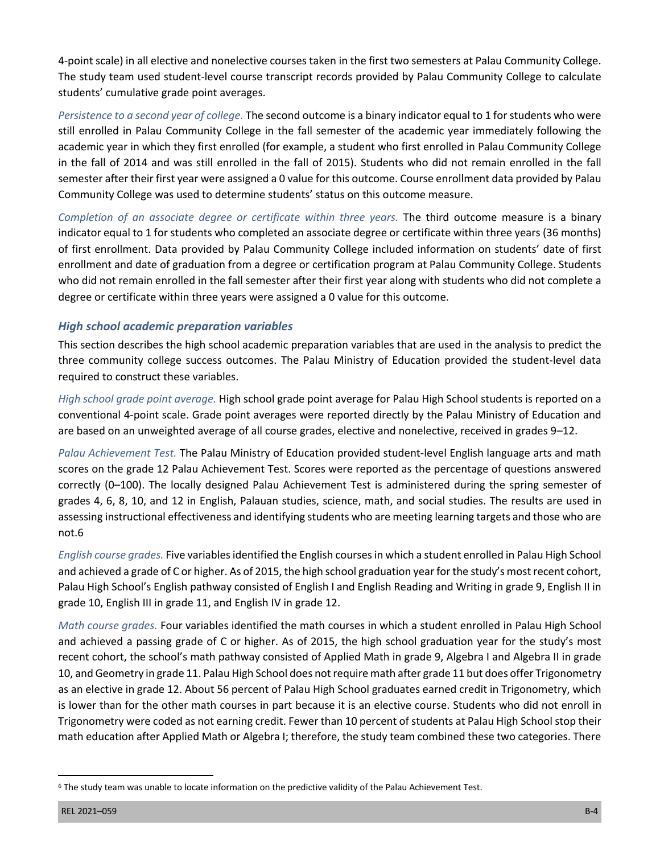4-point scale) in all elective and nonelective courses taken in the first two semesters at Palau Community College. The study team used student-level course transcript records provided by Palau Community College to calculate students' cumulative grade point averages.

 *Persistence to a second year of college.* The second outcome is a binary indicator equal to 1 for students who were still enrolled in Palau Community College in the fall semester of the academic year immediately following the in the fall of 2014 and was still enrolled in the fall of 2015). Students who did not remain enrolled in the fall semester after their first year were assigned a 0 value for this outcome. Course enrollment data provided by Palau Community College was used to determine students' status on this outcome measure. academic year in which they first enrolled (for example, a student who first enrolled in Palau Community College

Completion of an associate degree or certificate within three years. The third outcome measure is a binary indicator equal to 1 for students who completed an associate degree or certificate within three years (36 months) of first enrollment. Data provided by Palau Community College included information on students' date of first enrollment and date of graduation from a degree or certification program at Palau Community College. Students who did not remain enrolled in the fall semester after their first year along with students who did not complete a degree or certificate within three years were assigned a 0 value for this outcome.

# *High school academic preparation variables*

 This section describes the high school academic preparation variables that are used in the analysis to predict the three community college success outcomes. The Palau Ministry of Education provided the student-level data required to construct these variables.

 *High school grade point average.* High school grade point average for Palau High School students is reported on a conventional 4-point scale. Grade point averages were reported directly by the Palau Ministry of Education and are based on an unweighted average of all course grades, elective and nonelective, received in grades 9–12.

 *Palau Achievement Test.* The Palau Ministry of Education provided student-level English language arts and math scores on the grade 12 Palau Achievement Test. Scores were reported as the percentage of questions answered correctly (0–100). The locally designed Palau Achievement Test is administered during the spring semester of grades 4, 6, 8, 10, and 12 in English, Palauan studies, science, math, and social studies. The results are used in assessing instructional effectiveness and identifying students who are meeting learning targets and those who are not.6

 and achieved a grade of C or higher. As of 2015, the high school graduation year for the study's most recent cohort, Palau High School's English pathway consisted of English I and English Reading and Writing in grade 9, English II in grade 10, English III in grade 11, and English IV in grade 12. *English course grades.* Five variables identified the English courses in which a student enrolled in Palau High School

 *Math course grades.* Four variables identified the math courses in which a student enrolled in Palau High School and achieved a passing grade of C or higher. As of 2015, the high school graduation year for the study's most recent cohort, the school's math pathway consisted of Applied Math in grade 9, Algebra I and Algebra II in grade 10, and Geometry in grade 11. Palau High School does not require math after grade 11 but does offer Trigonometry as an elective in grade 12. About 56 percent of Palau High School graduates earned credit in Trigonometry, which is lower than for the other math courses in part because it is an elective course. Students who did not enroll in Trigonometry were coded as not earning credit. Fewer than 10 percent of students at Palau High School stop their math education after Applied Math or Algebra I; therefore, the study team combined these two categories. There

 6 The study team was unable to locate information on the predictive validity of the Palau Achievement Test.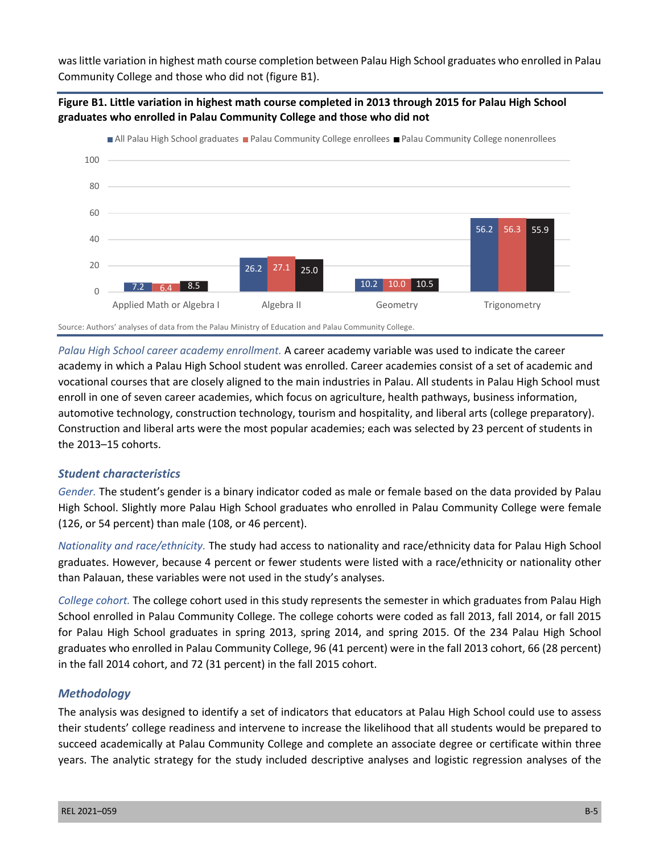was little variation in highest math course completion between Palau High School graduates who enrolled in Palau Community College and those who did not (figure B1).





Source: Authors' analyses of data from the Palau Ministry of Education and Palau Community College.

*Palau High School career academy enrollment.* A career academy variable was used to indicate the career academy in which a Palau High School student was enrolled. Career academies consist of a set of academic and vocational courses that are closely aligned to the main industries in Palau. All students in Palau High School must enroll in one of seven career academies, which focus on agriculture, health pathways, business information, automotive technology, construction technology, tourism and hospitality, and liberal arts (college preparatory). Construction and liberal arts were the most popular academies; each was selected by 23 percent of students in the 2013–15 cohorts.

## *Student characteristics*

*Gender.* The student's gender is a binary indicator coded as male or female based on the data provided by Palau High School. Slightly more Palau High School graduates who enrolled in Palau Community College were female (126, or 54 percent) than male (108, or 46 percent).

*Nationality and race/ethnicity.* The study had access to nationality and race/ethnicity data for Palau High School graduates. However, because 4 percent or fewer students were listed with a race/ethnicity or nationality other than Palauan, these variables were not used in the study's analyses.

*College cohort.* The college cohort used in this study represents the semester in which graduates from Palau High School enrolled in Palau Community College. The college cohorts were coded as fall 2013, fall 2014, or fall 2015 for Palau High School graduates in spring 2013, spring 2014, and spring 2015. Of the 234 Palau High School graduates who enrolled in Palau Community College, 96 (41 percent) were in the fall 2013 cohort, 66 (28 percent) in the fall 2014 cohort, and 72 (31 percent) in the fall 2015 cohort.

### *Methodology*

The analysis was designed to identify a set of indicators that educators at Palau High School could use to assess their students' college readiness and intervene to increase the likelihood that all students would be prepared to succeed academically at Palau Community College and complete an associate degree or certificate within three years. The analytic strategy for the study included descriptive analyses and logistic regression analyses of the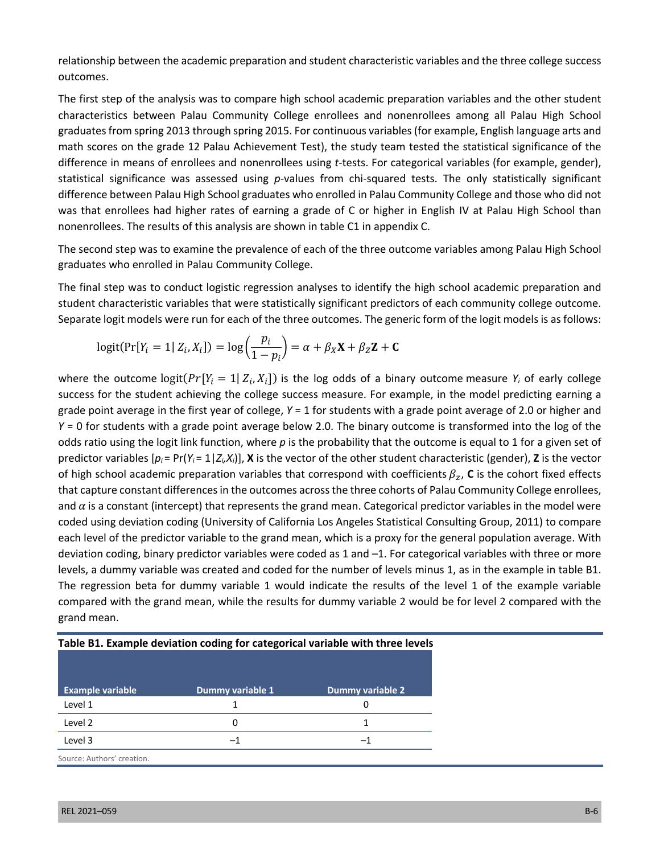relationship between the academic preparation and student characteristic variables and the three college success outcomes.

The first step of the analysis was to compare high school academic preparation variables and the other student characteristics between Palau Community College enrollees and nonenrollees among all Palau High School graduates from spring 2013 through spring 2015. For continuous variables (for example, English language arts and math scores on the grade 12 Palau Achievement Test), the study team tested the statistical significance of the difference in means of enrollees and nonenrollees using *t*-tests. For categorical variables (for example, gender), statistical significance was assessed using *p*-values from chi-squared tests. The only statistically significant difference between Palau High School graduates who enrolled in Palau Community College and those who did not was that enrollees had higher rates of earning a grade of C or higher in English IV at Palau High School than nonenrollees. The results of this analysis are shown in table C1 in appendix C.

The second step was to examine the prevalence of each of the three outcome variables among Palau High School graduates who enrolled in Palau Community College.

The final step was to conduct logistic regression analyses to identify the high school academic preparation and student characteristic variables that were statistically significant predictors of each community college outcome. Separate logit models were run for each of the three outcomes. The generic form of the logit models is as follows:

$$
logit(Pr[Y_i = 1 | Z_i, X_i]) = log\left(\frac{p_i}{1 - p_i}\right) = \alpha + \beta_X \mathbf{X} + \beta_Z \mathbf{Z} + \mathbf{C}
$$

where the outcome  $logit(Pr[Y_i = 1 | Z_i, X_i])$  is the log odds of a binary outcome measure  $Y_i$  of early college success for the student achieving the college success measure. For example, in the model predicting earning a grade point average in the first year of college, *Y* = 1 for students with a grade point average of 2.0 or higher and *Y* = 0 for students with a grade point average below 2.0. The binary outcome is transformed into the log of the odds ratio using the logit link function, where *p* is the probability that the outcome is equal to 1 for a given set of predictor variables  $[p_i = Pr(Y_i = 1 | Z_i, X_i)]$ , **X** is the vector of the other student characteristic (gender), **Z** is the vector of high school academic preparation variables that correspond with coefficients  $\beta_z$ , C is the cohort fixed effects that capture constant differences in the outcomes across the three cohorts of Palau Community College enrollees, and  $\alpha$  is a constant (intercept) that represents the grand mean. Categorical predictor variables in the model were coded using deviation coding (University of California Los Angeles Statistical Consulting Group, 2011) to compare each level of the predictor variable to the grand mean, which is a proxy for the general population average. With deviation coding, binary predictor variables were coded as 1 and –1. For categorical variables with three or more levels, a dummy variable was created and coded for the number of levels minus 1, as in the example in table B1. The regression beta for dummy variable 1 would indicate the results of the level 1 of the example variable compared with the grand mean, while the results for dummy variable 2 would be for level 2 compared with the grand mean.

| <b>Example variable</b>    | Dummy variable 1 | Dummy variable 2 |
|----------------------------|------------------|------------------|
| Level 1                    |                  | 0                |
| Level 2                    | O                | 1                |
| Level 3                    | -1               | -1               |
| Source: Authors' creation. |                  |                  |

**Table B1. Example deviation coding for categorical variable with three levels**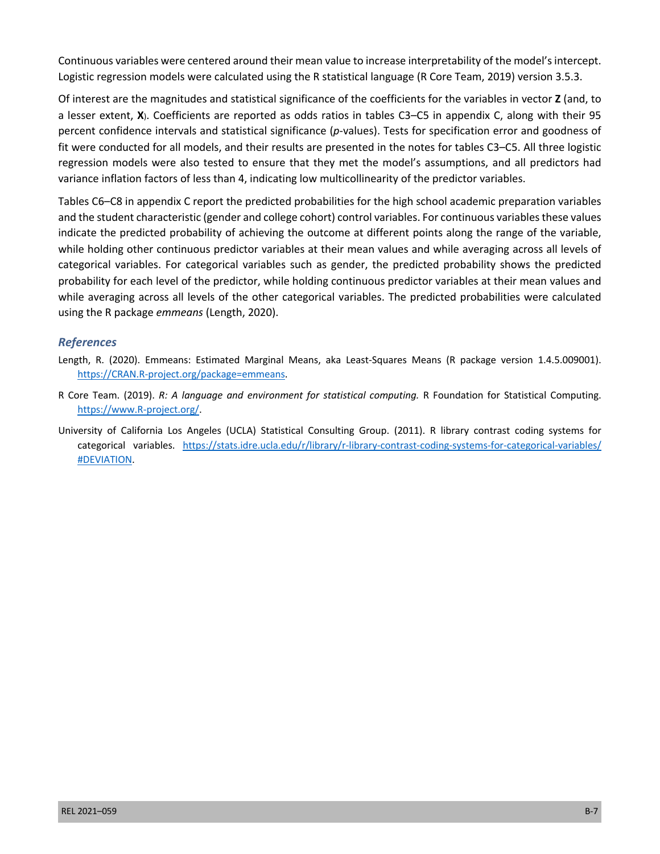Continuous variables were centered around their mean value to increase interpretability of the model's intercept. Logistic regression models were calculated using the R statistical language (R Core Team, 2019) version 3.5.3.

Of interest are the magnitudes and statistical significance of the coefficients for the variables in vector **Z** (and, to a lesser extent, **X**). Coefficients are reported as odds ratios in tables C3–C5 in appendix C, along with their 95 percent confidence intervals and statistical significance (*p*-values). Tests for specification error and goodness of fit were conducted for all models, and their results are presented in the notes for tables C3–C5. All three logistic regression models were also tested to ensure that they met the model's assumptions, and all predictors had variance inflation factors of less than 4, indicating low multicollinearity of the predictor variables.

Tables C6–C8 in appendix C report the predicted probabilities for the high school academic preparation variables and the student characteristic (gender and college cohort) control variables. For continuous variables these values indicate the predicted probability of achieving the outcome at different points along the range of the variable, while holding other continuous predictor variables at their mean values and while averaging across all levels of categorical variables. For categorical variables such as gender, the predicted probability shows the predicted probability for each level of the predictor, while holding continuous predictor variables at their mean values and while averaging across all levels of the other categorical variables. The predicted probabilities were calculated using the R package *emmeans* (Length, 2020).

## *References*

- Length, R. (2020). Emmeans: Estimated Marginal Means, aka Least-Squares Means (R package version 1.4.5.009001). [https://CRAN.R-project.org/package=emmeans.](https://CRAN.R-project.org/package=emmeans)
- R Core Team. (2019). *R: A language and environment for statistical computing.* R Foundation for Statistical Computing. [https://www.R-project.org/.](https://www.R-project.org/)
- University of California Los Angeles (UCLA) Statistical Consulting Group. (2011). R library contrast coding systems for categorical variables. [https://stats.idre.ucla.edu/r/library/r-library-contrast-coding-systems-for-categorical-variables/](https://stats.idre.ucla.edu/r/library/r-library-contrast-coding-systems-for-categorical-variables/#DEVIATION) [#DEVIATION](https://stats.idre.ucla.edu/r/library/r-library-contrast-coding-systems-for-categorical-variables/#DEVIATION).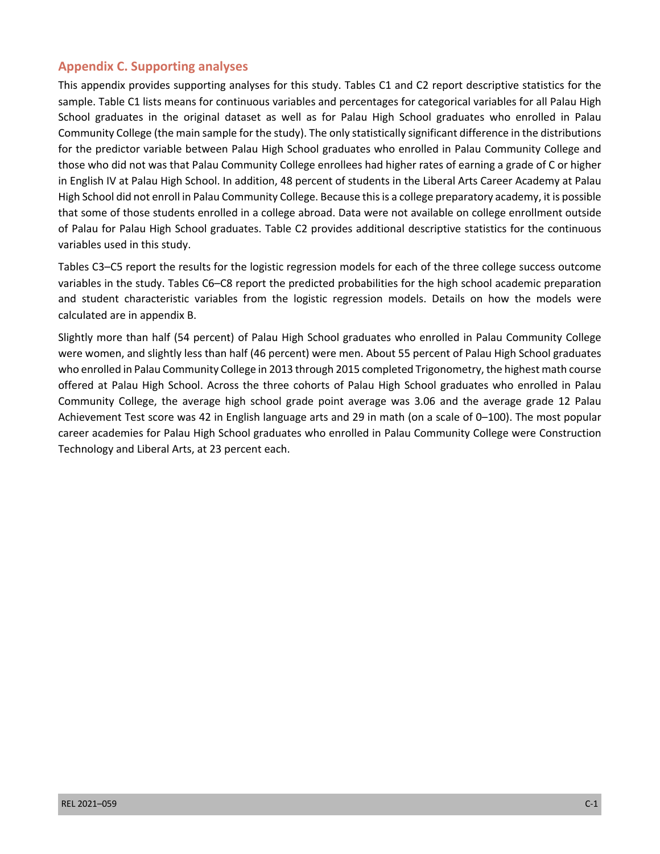# **Appendix C. Supporting analyses**

 This appendix provides supporting analyses for this study. Tables C1 and C2 report descriptive statistics for the sample. Table C1 lists means for continuous variables and percentages for categorical variables for all Palau High School graduates in the original dataset as well as for Palau High School graduates who enrolled in Palau Community College (the main sample for the study). The only statistically significant difference in the distributions for the predictor variable between Palau High School graduates who enrolled in Palau Community College and those who did not was that Palau Community College enrollees had higher rates of earning a grade of C or higher in English IV at Palau High School. In addition, 48 percent of students in the Liberal Arts Career Academy at Palau High School did not enroll in Palau Community College. Because this is a college preparatory academy, it is possible that some of those students enrolled in a college abroad. Data were not available on college enrollment outside of Palau for Palau High School graduates. Table C2 provides additional descriptive statistics for the continuous variables used in this study.

 Tables C3–C5 report the results for the logistic regression models for each of the three college success outcome variables in the study. Tables C6–C8 report the predicted probabilities for the high school academic preparation and student characteristic variables from the logistic regression models. Details on how the models were calculated are in appendix B.

 Slightly more than half (54 percent) of Palau High School graduates who enrolled in Palau Community College were women, and slightly less than half (46 percent) were men. About 55 percent of Palau High School graduates who enrolled in Palau Community College in 2013 through 2015 completed Trigonometry, the highest math course offered at Palau High School. Across the three cohorts of Palau High School graduates who enrolled in Palau Community College, the average high school grade point average was 3.06 and the average grade 12 Palau Achievement Test score was 42 in English language arts and 29 in math (on a scale of 0–100). The most popular career academies for Palau High School graduates who enrolled in Palau Community College were Construction Technology and Liberal Arts, at 23 percent each.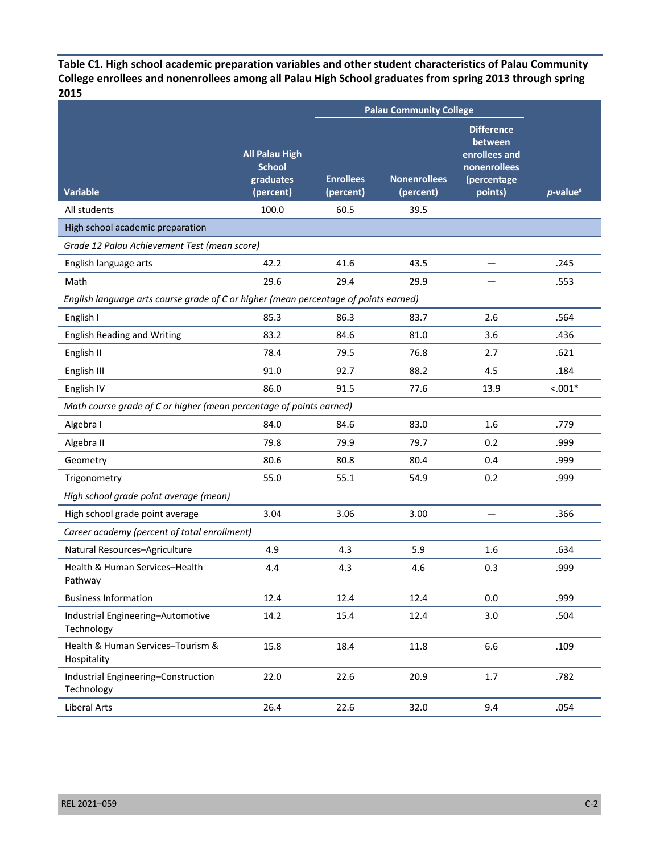**2015 Table C1. High school academic preparation variables and other student characteristics of Palau Community College enrollees and nonenrollees among all Palau High School graduates from spring 2013 through spring**

|                                                                                      |                                                                  |                               | <b>Palau Community College</b>   |                                                                                         |                         |
|--------------------------------------------------------------------------------------|------------------------------------------------------------------|-------------------------------|----------------------------------|-----------------------------------------------------------------------------------------|-------------------------|
| <b>Variable</b>                                                                      | <b>All Palau High</b><br><b>School</b><br>graduates<br>(percent) | <b>Enrollees</b><br>(percent) | <b>Nonenrollees</b><br>(percent) | <b>Difference</b><br>between<br>enrollees and<br>nonenrollees<br>(percentage<br>points) | $p$ -value <sup>a</sup> |
| All students                                                                         | 100.0                                                            | 60.5                          | 39.5                             |                                                                                         |                         |
| High school academic preparation                                                     |                                                                  |                               |                                  |                                                                                         |                         |
| Grade 12 Palau Achievement Test (mean score)                                         |                                                                  |                               |                                  |                                                                                         |                         |
| English language arts                                                                | 42.2                                                             | 41.6                          | 43.5                             |                                                                                         | .245                    |
| Math                                                                                 | 29.6                                                             | 29.4                          | 29.9                             |                                                                                         | .553                    |
| English language arts course grade of C or higher (mean percentage of points earned) |                                                                  |                               |                                  |                                                                                         |                         |
| English I                                                                            | 85.3                                                             | 86.3                          | 83.7                             | 2.6                                                                                     | .564                    |
| <b>English Reading and Writing</b>                                                   | 83.2                                                             | 84.6                          | 81.0                             | 3.6                                                                                     | .436                    |
| English II                                                                           | 78.4                                                             | 79.5                          | 76.8                             | 2.7                                                                                     | .621                    |
| English III                                                                          | 91.0                                                             | 92.7                          | 88.2                             | 4.5                                                                                     | .184                    |
| English IV                                                                           | 86.0                                                             | 91.5                          | 77.6                             | 13.9                                                                                    | $< .001*$               |
| Math course grade of C or higher (mean percentage of points earned)                  |                                                                  |                               |                                  |                                                                                         |                         |
| Algebra I                                                                            | 84.0                                                             | 84.6                          | 83.0                             | 1.6                                                                                     | .779                    |
| Algebra II                                                                           | 79.8                                                             | 79.9                          | 79.7                             | 0.2                                                                                     | .999                    |
| Geometry                                                                             | 80.6                                                             | 80.8                          | 80.4                             | 0.4                                                                                     | .999                    |
| Trigonometry                                                                         | 55.0                                                             | 55.1                          | 54.9                             | 0.2                                                                                     | .999                    |
| High school grade point average (mean)                                               |                                                                  |                               |                                  |                                                                                         |                         |
| High school grade point average                                                      | 3.04                                                             | 3.06                          | 3.00                             |                                                                                         | .366                    |
| Career academy (percent of total enrollment)                                         |                                                                  |                               |                                  |                                                                                         |                         |
| Natural Resources-Agriculture                                                        | 4.9                                                              | 4.3                           | 5.9                              | 1.6                                                                                     | .634                    |
| Health & Human Services-Health<br>Pathway                                            | 4.4                                                              | 4.3                           | 4.6                              | 0.3                                                                                     | .999                    |
| <b>Business Information</b>                                                          | 12.4                                                             | 12.4                          | 12.4                             | 0.0                                                                                     | .999                    |
| Industrial Engineering-Automotive<br>Technology                                      | 14.2                                                             | 15.4                          | 12.4                             | 3.0                                                                                     | .504                    |
| Health & Human Services-Tourism &<br>Hospitality                                     | 15.8                                                             | 18.4                          | 11.8                             | 6.6                                                                                     | .109                    |
| Industrial Engineering-Construction<br>Technology                                    | 22.0                                                             | 22.6                          | 20.9                             | $1.7$                                                                                   | .782                    |
| Liberal Arts                                                                         | 26.4                                                             | 22.6                          | 32.0                             | 9.4                                                                                     | .054                    |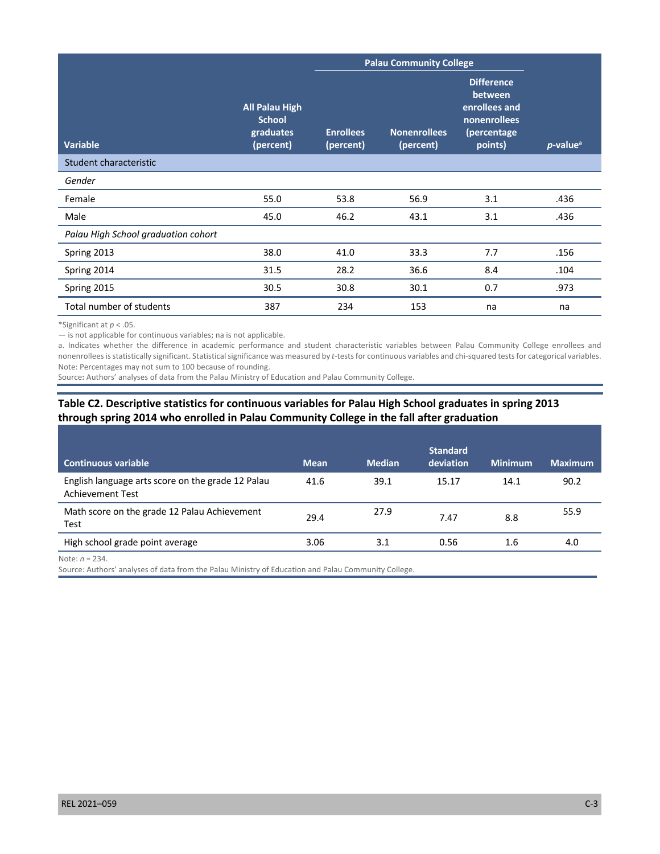|                                     |                                                                  |                               | <b>Palau Community College</b>   |                                                                                                |                         |
|-------------------------------------|------------------------------------------------------------------|-------------------------------|----------------------------------|------------------------------------------------------------------------------------------------|-------------------------|
| <b>Variable</b>                     | <b>All Palau High</b><br><b>School</b><br>graduates<br>(percent) | <b>Enrollees</b><br>(percent) | <b>Nonenrollees</b><br>(percent) | <b>Difference</b><br>between<br>enrollees and<br><b>nonenrollees</b><br>(percentage<br>points) | $p$ -value <sup>a</sup> |
| Student characteristic              |                                                                  |                               |                                  |                                                                                                |                         |
| Gender                              |                                                                  |                               |                                  |                                                                                                |                         |
| Female                              | 55.0                                                             | 53.8                          | 56.9                             | 3.1                                                                                            | .436                    |
| Male                                | 45.0                                                             | 46.2                          | 43.1                             | 3.1                                                                                            | .436                    |
| Palau High School graduation cohort |                                                                  |                               |                                  |                                                                                                |                         |
| Spring 2013                         | 38.0                                                             | 41.0                          | 33.3                             | 7.7                                                                                            | .156                    |
| Spring 2014                         | 31.5                                                             | 28.2                          | 36.6                             | 8.4                                                                                            | .104                    |
| Spring 2015                         | 30.5                                                             | 30.8                          | 30.1                             | 0.7                                                                                            | .973                    |
| Total number of students            | 387                                                              | 234                           | 153                              | na                                                                                             | na                      |

\*Significant at *p* < .05.

— is not applicable for continuous variables; na is not applicable.

 a. Indicates whether the difference in academic performance and student characteristic variables between Palau Community College enrollees and nonenrollees is statistically significant. Statistical significance was measured by *t*-tests for continuous variables and chi-squared tests for categorical variables. Note: Percentages may not sum to 100 because of rounding.

Source**:** Authors' analyses of data from the Palau Ministry of Education and Palau Community College.

## **Table C2. Descriptive statistics for continuous variables for Palau High School graduates in spring 2013 through spring 2014 who enrolled in Palau Community College in the fall after graduation**

| <b>Continuous variable</b>                                            | <b>Mean</b> | <b>Median</b> | <b>Standard</b><br>deviation | <b>Minimum</b> | <b>Maximum</b> |
|-----------------------------------------------------------------------|-------------|---------------|------------------------------|----------------|----------------|
| English language arts score on the grade 12 Palau<br>Achievement Test | 41.6        | 39.1          | 15.17                        | 14.1           | 90.2           |
| Math score on the grade 12 Palau Achievement<br>Test                  | 29.4        | 27.9          | 7.47                         | 8.8            | 55.9           |
| High school grade point average                                       | 3.06        | 3.1           | 0.56                         | $1.6\,$        | 4.0            |

Note: *n* = 234.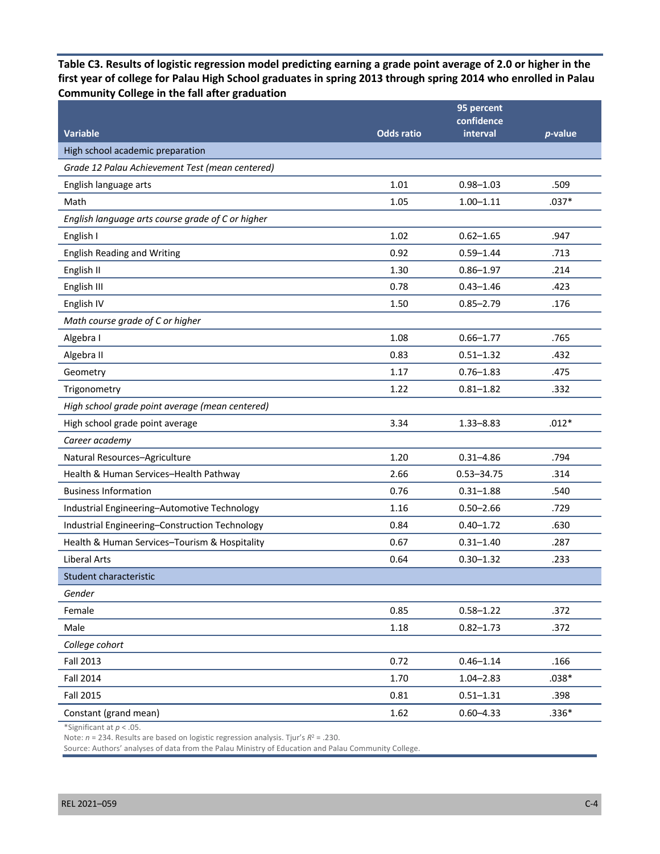**Table C3. Results of logistic regression model predicting earning a grade point average of 2.0 or higher in the first year of college for Palau High School graduates in spring 2013 through spring 2014 who enrolled in Palau Community College in the fall after graduation** 

|                                                   |                   | 95 percent             |         |
|---------------------------------------------------|-------------------|------------------------|---------|
| <b>Variable</b>                                   | <b>Odds ratio</b> | confidence<br>interval | p-value |
| High school academic preparation                  |                   |                        |         |
| Grade 12 Palau Achievement Test (mean centered)   |                   |                        |         |
| English language arts                             | 1.01              | $0.98 - 1.03$          | .509    |
| Math                                              | 1.05              | $1.00 - 1.11$          | $.037*$ |
| English language arts course grade of C or higher |                   |                        |         |
| English I                                         | 1.02              | $0.62 - 1.65$          | .947    |
| <b>English Reading and Writing</b>                | 0.92              | $0.59 - 1.44$          | .713    |
| English II                                        | 1.30              | $0.86 - 1.97$          | .214    |
| English III                                       | 0.78              | $0.43 - 1.46$          | .423    |
| English IV                                        | 1.50              | $0.85 - 2.79$          | .176    |
| Math course grade of C or higher                  |                   |                        |         |
| Algebra I                                         | 1.08              | $0.66 - 1.77$          | .765    |
| Algebra II                                        | 0.83              | $0.51 - 1.32$          | .432    |
| Geometry                                          | 1.17              | $0.76 - 1.83$          | .475    |
| Trigonometry                                      | 1.22              | $0.81 - 1.82$          | .332    |
| High school grade point average (mean centered)   |                   |                        |         |
| High school grade point average                   | 3.34              | $1.33 - 8.83$          | $.012*$ |
| Career academy                                    |                   |                        |         |
| Natural Resources-Agriculture                     | 1.20              | $0.31 - 4.86$          | .794    |
| Health & Human Services-Health Pathway            | 2.66              | $0.53 - 34.75$         | .314    |
| <b>Business Information</b>                       | 0.76              | $0.31 - 1.88$          | .540    |
| Industrial Engineering-Automotive Technology      | 1.16              | $0.50 - 2.66$          | .729    |
| Industrial Engineering-Construction Technology    | 0.84              | $0.40 - 1.72$          | .630    |
| Health & Human Services-Tourism & Hospitality     | 0.67              | $0.31 - 1.40$          | .287    |
| <b>Liberal Arts</b>                               | 0.64              | $0.30 - 1.32$          | .233    |
| Student characteristic                            |                   |                        |         |
| Gender                                            |                   |                        |         |
| Female                                            | 0.85              | $0.58 - 1.22$          | .372    |
| Male                                              | 1.18              | $0.82 - 1.73$          | .372    |
| College cohort                                    |                   |                        |         |
| <b>Fall 2013</b>                                  | 0.72              | $0.46 - 1.14$          | .166    |
| <b>Fall 2014</b>                                  | 1.70              | $1.04 - 2.83$          | $.038*$ |
| <b>Fall 2015</b>                                  | 0.81              | $0.51 - 1.31$          | .398    |
| Constant (grand mean)                             | 1.62              | $0.60 - 4.33$          | $.336*$ |

\*Significant at *p* < .05.

Note: *n* = 234. Results are based on logistic regression analysis. Tjur's *R*<sup>2</sup> = .230.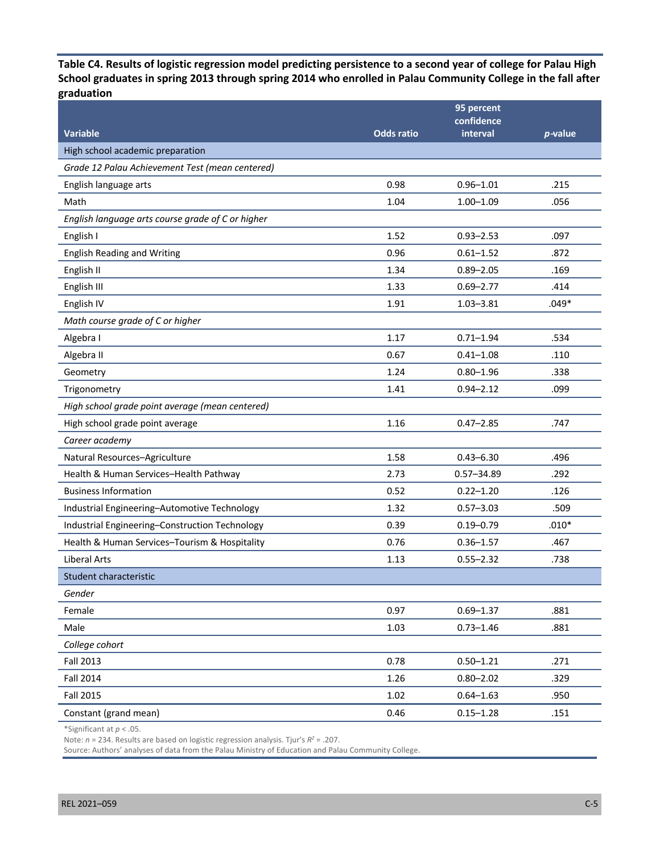**Table C4. Results of logistic regression model predicting persistence to a second year of college for Palau High School graduates in spring 2013 through spring 2014 who enrolled in Palau Community College in the fall after**  graduation

| graduation                                        |                   |                          |                 |
|---------------------------------------------------|-------------------|--------------------------|-----------------|
|                                                   |                   | 95 percent<br>confidence |                 |
| <b>Variable</b>                                   | <b>Odds ratio</b> | interval                 | <i>p</i> -value |
| High school academic preparation                  |                   |                          |                 |
| Grade 12 Palau Achievement Test (mean centered)   |                   |                          |                 |
| English language arts                             | 0.98              | $0.96 - 1.01$            | .215            |
| Math                                              | 1.04              | $1.00 - 1.09$            | .056            |
| English language arts course grade of C or higher |                   |                          |                 |
| English I                                         | 1.52              | $0.93 - 2.53$            | .097            |
| <b>English Reading and Writing</b>                | 0.96              | $0.61 - 1.52$            | .872            |
| English II                                        | 1.34              | $0.89 - 2.05$            | .169            |
| English III                                       | 1.33              | $0.69 - 2.77$            | .414            |
| English IV                                        | 1.91              | $1.03 - 3.81$            | $.049*$         |
| Math course grade of C or higher                  |                   |                          |                 |
| Algebra I                                         | 1.17              | $0.71 - 1.94$            | .534            |
| Algebra II                                        | 0.67              | $0.41 - 1.08$            | .110            |
| Geometry                                          | 1.24              | $0.80 - 1.96$            | .338            |
| Trigonometry                                      | 1.41              | $0.94 - 2.12$            | .099            |
| High school grade point average (mean centered)   |                   |                          |                 |
| High school grade point average                   | 1.16              | $0.47 - 2.85$            | .747            |
| Career academy                                    |                   |                          |                 |
| Natural Resources-Agriculture                     | 1.58              | $0.43 - 6.30$            | .496            |
| Health & Human Services-Health Pathway            | 2.73              | $0.57 - 34.89$           | .292            |
| <b>Business Information</b>                       | 0.52              | $0.22 - 1.20$            | .126            |
| Industrial Engineering-Automotive Technology      | 1.32              | $0.57 - 3.03$            | .509            |
| Industrial Engineering-Construction Technology    | 0.39              | $0.19 - 0.79$            | $.010*$         |
| Health & Human Services-Tourism & Hospitality     | 0.76              | $0.36 - 1.57$            | .467            |
| <b>Liberal Arts</b>                               | 1.13              | $0.55 - 2.32$            | .738            |
| Student characteristic                            |                   |                          |                 |
| Gender                                            |                   |                          |                 |
| Female                                            | 0.97              | $0.69 - 1.37$            | .881            |
| Male                                              | 1.03              | $0.73 - 1.46$            | .881            |
| College cohort                                    |                   |                          |                 |
| <b>Fall 2013</b>                                  | 0.78              | $0.50 - 1.21$            | .271            |
| <b>Fall 2014</b>                                  | 1.26              | $0.80 - 2.02$            | .329            |
| <b>Fall 2015</b>                                  | 1.02              | $0.64 - 1.63$            | .950            |
| Constant (grand mean)                             | 0.46              | $0.15 - 1.28$            | .151            |

\*Significant at *p* < .05.

Note: *n* = 234. Results are based on logistic regression analysis. Tjur's *R2* = .207.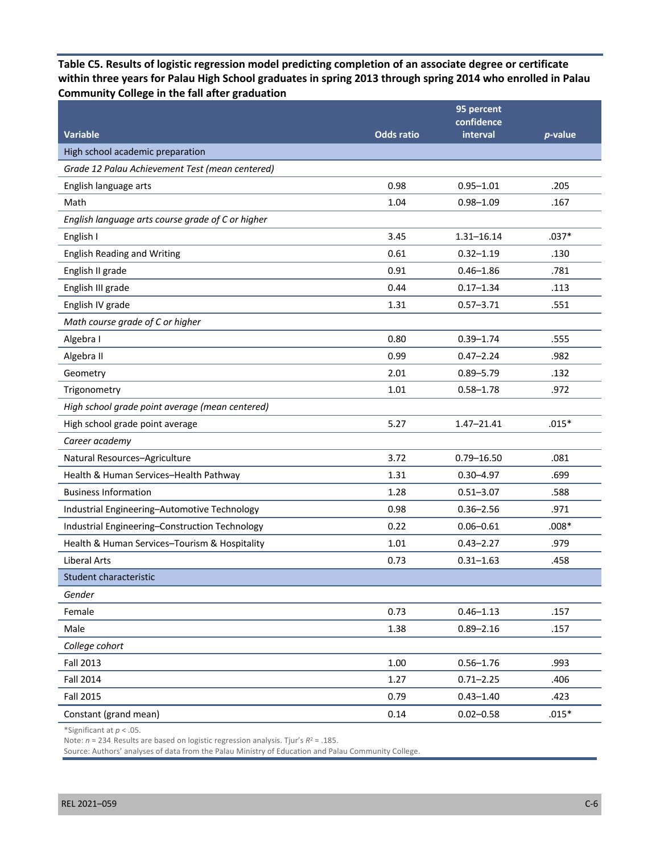**Table C5. Results of logistic regression model predicting completion of an associate degree or certificate within three years for Palau High School graduates in spring 2013 through spring 2014 who enrolled in Palau Community College in the fall after graduation** 

|                                                   |                   | 95 percent<br>confidence |         |
|---------------------------------------------------|-------------------|--------------------------|---------|
| <b>Variable</b>                                   | <b>Odds ratio</b> | interval                 | p-value |
| High school academic preparation                  |                   |                          |         |
| Grade 12 Palau Achievement Test (mean centered)   |                   |                          |         |
| English language arts                             | 0.98              | $0.95 - 1.01$            | .205    |
| Math                                              | 1.04              | $0.98 - 1.09$            | .167    |
| English language arts course grade of C or higher |                   |                          |         |
| English I                                         | 3.45              | $1.31 - 16.14$           | $.037*$ |
| <b>English Reading and Writing</b>                | 0.61              | $0.32 - 1.19$            | .130    |
| English II grade                                  | 0.91              | $0.46 - 1.86$            | .781    |
| English III grade                                 | 0.44              | $0.17 - 1.34$            | .113    |
| English IV grade                                  | 1.31              | $0.57 - 3.71$            | .551    |
| Math course grade of C or higher                  |                   |                          |         |
| Algebra I                                         | 0.80              | $0.39 - 1.74$            | .555    |
| Algebra II                                        | 0.99              | $0.47 - 2.24$            | .982    |
| Geometry                                          | 2.01              | $0.89 - 5.79$            | .132    |
| Trigonometry                                      | 1.01              | $0.58 - 1.78$            | .972    |
| High school grade point average (mean centered)   |                   |                          |         |
| High school grade point average                   | 5.27              | $1.47 - 21.41$           | $.015*$ |
| Career academy                                    |                   |                          |         |
| Natural Resources-Agriculture                     | 3.72              | $0.79 - 16.50$           | .081    |
| Health & Human Services-Health Pathway            | 1.31              | $0.30 - 4.97$            | .699    |
| <b>Business Information</b>                       | 1.28              | $0.51 - 3.07$            | .588    |
| Industrial Engineering-Automotive Technology      | 0.98              | $0.36 - 2.56$            | .971    |
| Industrial Engineering-Construction Technology    | 0.22              | $0.06 - 0.61$            | $.008*$ |
| Health & Human Services-Tourism & Hospitality     | 1.01              | $0.43 - 2.27$            | .979    |
| <b>Liberal Arts</b>                               | 0.73              | $0.31 - 1.63$            | .458    |
| Student characteristic                            |                   |                          |         |
| Gender                                            |                   |                          |         |
| Female                                            | 0.73              | $0.46 - 1.13$            | .157    |
| Male                                              | 1.38              | $0.89 - 2.16$            | .157    |
| College cohort                                    |                   |                          |         |
| Fall 2013                                         | 1.00              | $0.56 - 1.76$            | .993    |
| <b>Fall 2014</b>                                  | 1.27              | $0.71 - 2.25$            | .406    |
| Fall 2015                                         | 0.79              | $0.43 - 1.40$            | .423    |
| Constant (grand mean)                             | 0.14              | $0.02 - 0.58$            | $.015*$ |

\*Significant at *p* < .05.

Note: *n* = 234. Results are based on logistic regression analysis. Tjur's *R*<sup>2</sup> = .185.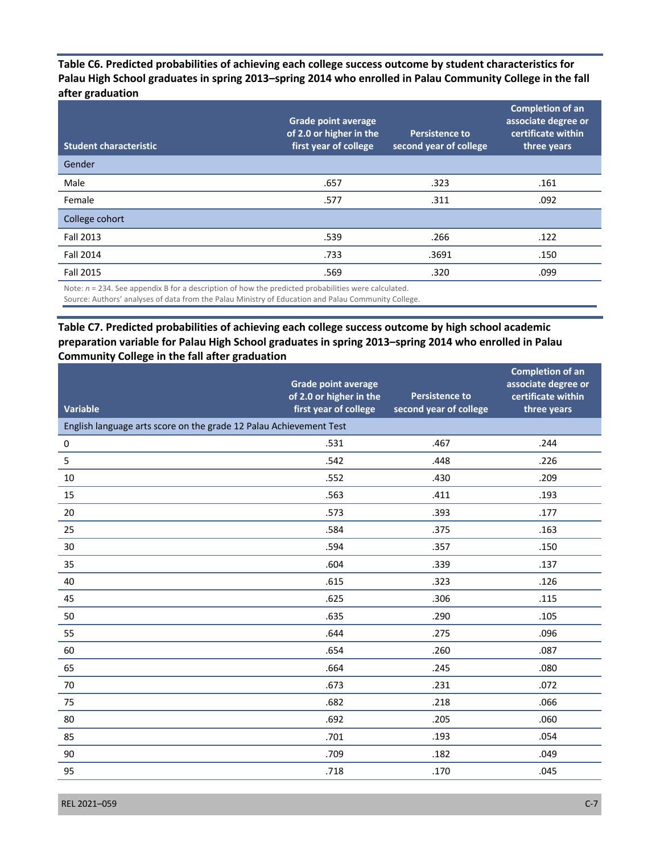**Palau High School graduates in spring 2013–spring 2014 who enrolled in Palau Community College in the fall Table C6. Predicted probabilities of achieving each college success outcome by student characteristics for after graduation** 

| Gender<br>Male<br>.657<br>.323<br>.161<br>Female<br>.092<br>.577<br>.311<br>College cohort | <b>Student characteristic</b> | <b>Grade point average</b><br>of 2.0 or higher in the<br>first year of college | Persistence to<br>second year of college | <b>Completion of an</b><br>associate degree or<br>certificate within<br>three years |
|--------------------------------------------------------------------------------------------|-------------------------------|--------------------------------------------------------------------------------|------------------------------------------|-------------------------------------------------------------------------------------|
|                                                                                            |                               |                                                                                |                                          |                                                                                     |
|                                                                                            |                               |                                                                                |                                          |                                                                                     |
|                                                                                            |                               |                                                                                |                                          |                                                                                     |
|                                                                                            |                               |                                                                                |                                          |                                                                                     |
| Fall 2013<br>.539<br>.266<br>.122                                                          |                               |                                                                                |                                          |                                                                                     |
| <b>Fall 2014</b><br>.733<br>.3691<br>.150                                                  |                               |                                                                                |                                          |                                                                                     |
| <b>Fall 2015</b><br>.099<br>.569<br>.320                                                   |                               |                                                                                |                                          |                                                                                     |

Note:  $n = 234$ . See appendix B for a description of how the predicted probabilities were calculated.

Source: Authors' analyses of data from the Palau Ministry of Education and Palau Community College.

## **preparation variable for Palau High School graduates in spring 2013–spring 2014 who enrolled in Palau Community College in the fall after graduation Table C7. Predicted probabilities of achieving each college success outcome by high school academic**

| <b>Variable</b>                                                    | <b>Grade point average</b><br>of 2.0 or higher in the<br>first year of college | <b>Persistence to</b><br>second year of college | <b>Completion of an</b><br>associate degree or<br>certificate within<br>three years |
|--------------------------------------------------------------------|--------------------------------------------------------------------------------|-------------------------------------------------|-------------------------------------------------------------------------------------|
| English language arts score on the grade 12 Palau Achievement Test |                                                                                |                                                 |                                                                                     |
| $\pmb{0}$                                                          | .531                                                                           | .467                                            | .244                                                                                |
| 5                                                                  | .542                                                                           | .448                                            | .226                                                                                |
| 10                                                                 | .552                                                                           | .430                                            | .209                                                                                |
| 15                                                                 | .563                                                                           | .411                                            | .193                                                                                |
| 20                                                                 | .573                                                                           | .393                                            | .177                                                                                |
| 25                                                                 | .584                                                                           | .375                                            | .163                                                                                |
| 30                                                                 | .594                                                                           | .357                                            | .150                                                                                |
| 35                                                                 | .604                                                                           | .339                                            | .137                                                                                |
| 40                                                                 | .615                                                                           | .323                                            | .126                                                                                |
| 45                                                                 | .625                                                                           | .306                                            | .115                                                                                |
| 50                                                                 | .635                                                                           | .290                                            | .105                                                                                |
| 55                                                                 | .644                                                                           | .275                                            | .096                                                                                |
| 60                                                                 | .654                                                                           | .260                                            | .087                                                                                |
| 65                                                                 | .664                                                                           | .245                                            | .080                                                                                |
| 70                                                                 | .673                                                                           | .231                                            | .072                                                                                |
| 75                                                                 | .682                                                                           | .218                                            | .066                                                                                |
| 80                                                                 | .692                                                                           | .205                                            | .060                                                                                |
| 85                                                                 | .701                                                                           | .193                                            | .054                                                                                |
| 90                                                                 | .709                                                                           | .182                                            | .049                                                                                |
| 95                                                                 | .718                                                                           | .170                                            | .045                                                                                |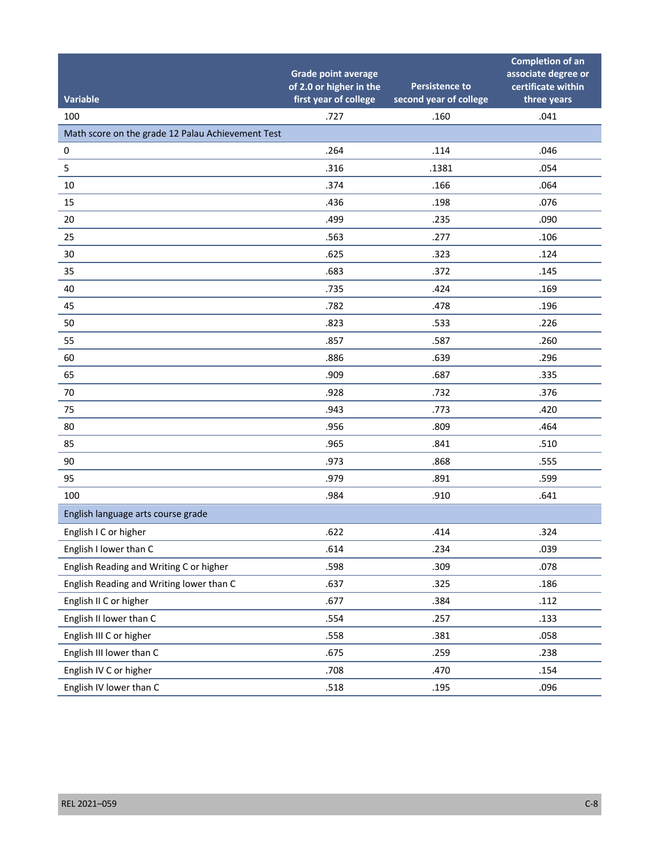| <b>Variable</b>                                   | <b>Grade point average</b><br>of 2.0 or higher in the<br>first year of college | <b>Persistence to</b><br>second year of college | <b>Completion of an</b><br>associate degree or<br>certificate within<br>three years |
|---------------------------------------------------|--------------------------------------------------------------------------------|-------------------------------------------------|-------------------------------------------------------------------------------------|
| 100                                               | .727                                                                           | .160                                            | .041                                                                                |
| Math score on the grade 12 Palau Achievement Test |                                                                                |                                                 |                                                                                     |
| 0                                                 | .264                                                                           | .114                                            | .046                                                                                |
| 5                                                 | .316                                                                           | .1381                                           | .054                                                                                |
| 10                                                | .374                                                                           | .166                                            | .064                                                                                |
| 15                                                | .436                                                                           | .198                                            | .076                                                                                |
| 20                                                | .499                                                                           | .235                                            | .090                                                                                |
| 25                                                | .563                                                                           | .277                                            | .106                                                                                |
| 30                                                | .625                                                                           | .323                                            | .124                                                                                |
| 35                                                | .683                                                                           | .372                                            | .145                                                                                |
| 40                                                | .735                                                                           | .424                                            | .169                                                                                |
| 45                                                | .782                                                                           | .478                                            | .196                                                                                |
| 50                                                | .823                                                                           | .533                                            | .226                                                                                |
| 55                                                | .857                                                                           | .587                                            | .260                                                                                |
| 60                                                | .886                                                                           | .639                                            | .296                                                                                |
| 65                                                | .909                                                                           | .687                                            | .335                                                                                |
| 70                                                | .928                                                                           | .732                                            | .376                                                                                |
| 75                                                | .943                                                                           | .773                                            | .420                                                                                |
| 80                                                | .956                                                                           | .809                                            | .464                                                                                |
| 85                                                | .965                                                                           | .841                                            | .510                                                                                |
| 90                                                | .973                                                                           | .868                                            | .555                                                                                |
| 95                                                | .979                                                                           | .891                                            | .599                                                                                |
| 100                                               | .984                                                                           | .910                                            | .641                                                                                |
| English language arts course grade                |                                                                                |                                                 |                                                                                     |
| English I C or higher                             | .622                                                                           | .414                                            | .324                                                                                |
| English I lower than C                            | .614                                                                           | .234                                            | .039                                                                                |
| English Reading and Writing C or higher           | .598                                                                           | .309                                            | .078                                                                                |
| English Reading and Writing lower than C          | .637                                                                           | .325                                            | .186                                                                                |
| English II C or higher                            | .677                                                                           | .384                                            | .112                                                                                |
| English II lower than C                           | .554                                                                           | .257                                            | .133                                                                                |
| English III C or higher                           | .558                                                                           | .381                                            | .058                                                                                |
| English III lower than C                          | .675                                                                           | .259                                            | .238                                                                                |
| English IV C or higher                            | .708                                                                           | .470                                            | .154                                                                                |
| English IV lower than C                           | .518                                                                           | .195                                            | .096                                                                                |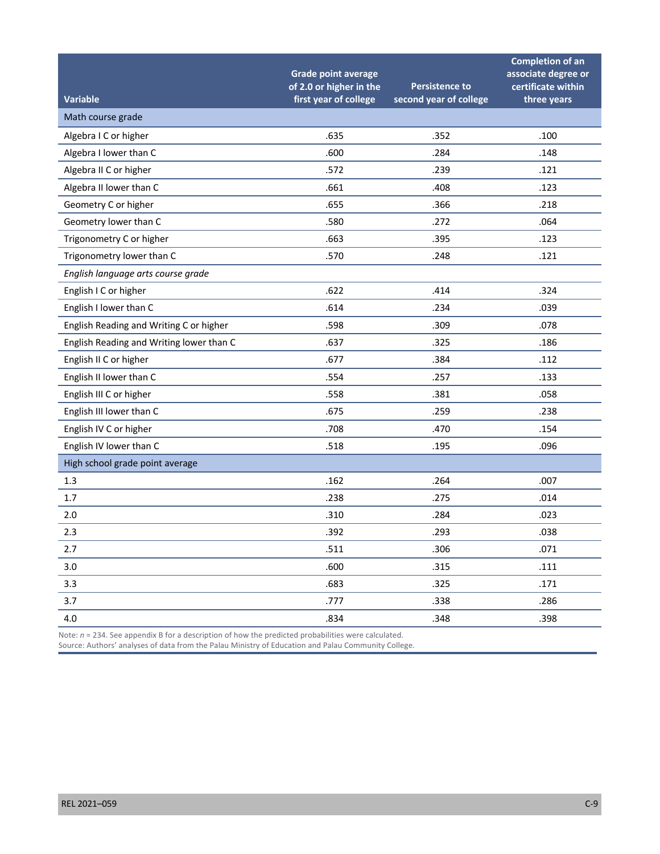|                                          | <b>Grade point average</b><br>of 2.0 or higher in the | <b>Persistence to</b>  | <b>Completion of an</b><br>associate degree or<br>certificate within |
|------------------------------------------|-------------------------------------------------------|------------------------|----------------------------------------------------------------------|
| <b>Variable</b>                          | first year of college                                 | second year of college | three years                                                          |
| Math course grade                        |                                                       |                        |                                                                      |
| Algebra I C or higher                    | .635                                                  | .352                   | .100                                                                 |
| Algebra I lower than C                   | .600                                                  | .284                   | .148                                                                 |
| Algebra II C or higher                   | .572                                                  | .239                   | .121                                                                 |
| Algebra II lower than C                  | .661                                                  | .408                   | .123                                                                 |
| Geometry C or higher                     | .655                                                  | .366                   | .218                                                                 |
| Geometry lower than C                    | .580                                                  | .272                   | .064                                                                 |
| Trigonometry C or higher                 | .663                                                  | .395                   | .123                                                                 |
| Trigonometry lower than C                | .570                                                  | .248                   | .121                                                                 |
| English language arts course grade       |                                                       |                        |                                                                      |
| English I C or higher                    | .622                                                  | .414                   | .324                                                                 |
| English I lower than C                   | .614                                                  | .234                   | .039                                                                 |
| English Reading and Writing C or higher  | .598                                                  | .309                   | .078                                                                 |
| English Reading and Writing lower than C | .637                                                  | .325                   | .186                                                                 |
| English II C or higher                   | .677                                                  | .384                   | .112                                                                 |
| English II lower than C                  | .554                                                  | .257                   | .133                                                                 |
| English III C or higher                  | .558                                                  | .381                   | .058                                                                 |
| English III lower than C                 | .675                                                  | .259                   | .238                                                                 |
| English IV C or higher                   | .708                                                  | .470                   | .154                                                                 |
| English IV lower than C                  | .518                                                  | .195                   | .096                                                                 |
| High school grade point average          |                                                       |                        |                                                                      |
| 1.3                                      | .162                                                  | .264                   | .007                                                                 |
| 1.7                                      | .238                                                  | .275                   | .014                                                                 |
| 2.0                                      | .310                                                  | .284                   | .023                                                                 |
| 2.3                                      | .392                                                  | .293                   | .038                                                                 |
| 2.7                                      | .511                                                  | .306                   | .071                                                                 |
| 3.0                                      | .600                                                  | .315                   | .111                                                                 |
| 3.3                                      | .683                                                  | .325                   | .171                                                                 |
| 3.7                                      | .777                                                  | .338                   | .286                                                                 |
| 4.0                                      | .834                                                  | .348                   | .398                                                                 |

Note:  $n = 234$ . See appendix B for a description of how the predicted probabilities were calculated.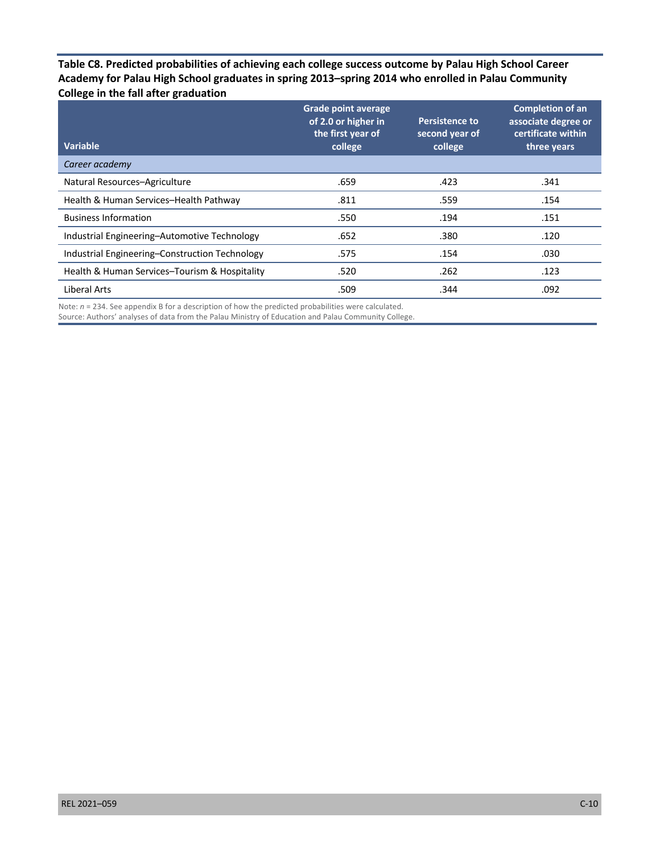**Table C8. Predicted probabilities of achieving each college success outcome by Palau High School Career Academy for Palau High School graduates in spring 2013–spring 2014 who enrolled in Palau Community College in the fall after graduation** 

| <b>Variable</b>                                | <b>Grade point average</b><br>of 2.0 or higher in<br>the first year of<br>college | <b>Persistence to</b><br>second year of<br>college | <b>Completion of an</b><br>associate degree or<br>certificate within<br>three years |
|------------------------------------------------|-----------------------------------------------------------------------------------|----------------------------------------------------|-------------------------------------------------------------------------------------|
| Career academy                                 |                                                                                   |                                                    |                                                                                     |
| Natural Resources-Agriculture                  | .659                                                                              | .423                                               | .341                                                                                |
| Health & Human Services-Health Pathway         | .811                                                                              | .559                                               | .154                                                                                |
| <b>Business Information</b>                    | .550                                                                              | .194                                               | .151                                                                                |
| Industrial Engineering-Automotive Technology   | .652                                                                              | .380                                               | .120                                                                                |
| Industrial Engineering-Construction Technology | .575                                                                              | .154                                               | .030                                                                                |
| Health & Human Services-Tourism & Hospitality  | .520                                                                              | .262                                               | .123                                                                                |
| Liberal Arts                                   | .509                                                                              | .344                                               | .092                                                                                |

Note:  $n = 234$ . See appendix B for a description of how the predicted probabilities were calculated.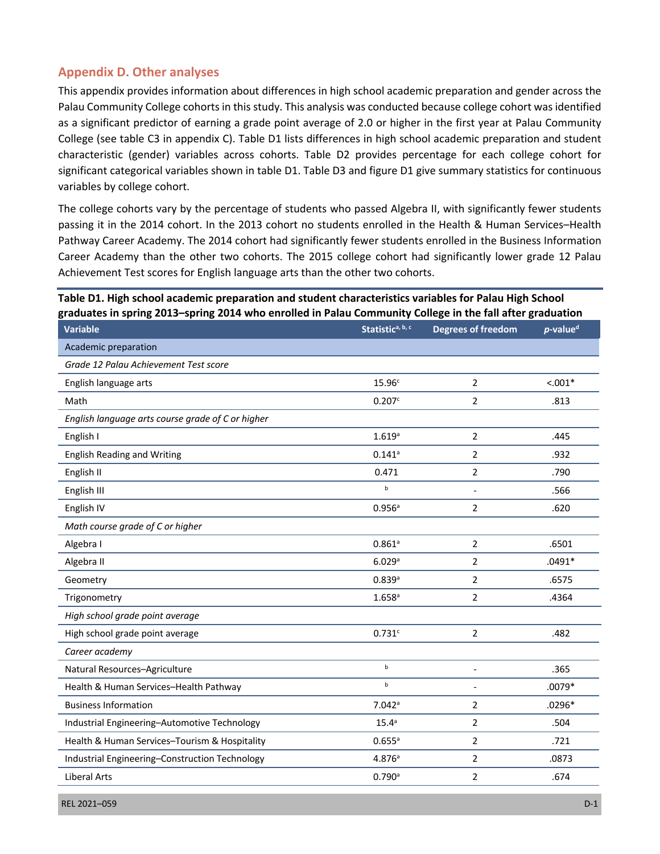# **Appendix D. Other analyses**

 Palau Community College cohorts in this study. This analysis was conducted because college cohort was identified as a significant predictor of earning a grade point average of 2.0 or higher in the first year at Palau Community College (see table C3 in appendix C). Table D1 lists differences in high school academic preparation and student characteristic (gender) variables across cohorts. Table D2 provides percentage for each college cohort for significant categorical variables shown in table D1. Table D3 and figure D1 give summary statistics for continuous variables by college cohort. This appendix provides information about differences in high school academic preparation and gender across the

 The college cohorts vary by the percentage of students who passed Algebra II, with significantly fewer students passing it in the 2014 cohort. In the 2013 cohort no students enrolled in the Health & Human Services–Health Pathway Career Academy. The 2014 cohort had significantly fewer students enrolled in the Business Information Career Academy than the other two cohorts. The 2015 college cohort had significantly lower grade 12 Palau Achievement Test scores for English language arts than the other two cohorts.

## **graduates in spring 2013–spring 2014 who enrolled in Palau Community College in the fall after graduation Table D1. High school academic preparation and student characteristics variables for Palau High School**

| סייי יק טיי יי כבי<br>-סיייים ---<br><b>Variable</b> | Statistica, b, c     | Degrees of freedom       | $p$ -value <sup>d</sup> |
|------------------------------------------------------|----------------------|--------------------------|-------------------------|
| Academic preparation                                 |                      |                          |                         |
| Grade 12 Palau Achievement Test score                |                      |                          |                         |
| English language arts                                | 15.96 <sup>c</sup>   | $\overline{2}$           | $< .001*$               |
| Math                                                 | 0.207c               | 2                        | .813                    |
| English language arts course grade of C or higher    |                      |                          |                         |
| English I                                            | 1.619a               | $\overline{2}$           | .445                    |
| <b>English Reading and Writing</b>                   | $0.141$ <sup>a</sup> | $\overline{2}$           | .932                    |
| English II                                           | 0.471                | $\overline{2}$           | .790                    |
| English III                                          | $\sf b$              |                          | .566                    |
| English IV                                           | 0.956a               | 2                        | .620                    |
| Math course grade of C or higher                     |                      |                          |                         |
| Algebra I                                            | $0.861$ <sup>a</sup> | $\overline{2}$           | .6501                   |
| Algebra II                                           | 6.029a               | $\overline{2}$           | $.0491*$                |
| Geometry                                             | 0.839a               | 2                        | .6575                   |
| Trigonometry                                         | $1.658$ <sup>a</sup> | $\overline{2}$           | .4364                   |
| High school grade point average                      |                      |                          |                         |
| High school grade point average                      | 0.731c               | $\overline{2}$           | .482                    |
| Career academy                                       |                      |                          |                         |
| Natural Resources-Agriculture                        | $\mathbf b$          | $\overline{\phantom{a}}$ | .365                    |
| Health & Human Services-Health Pathway               | $\mathsf{b}$         | $\overline{\phantom{a}}$ | $.0079*$                |
| <b>Business Information</b>                          | $7.042$ <sup>a</sup> | 2                        | $.0296*$                |
| Industrial Engineering-Automotive Technology         | $15.4^a$             | $\overline{2}$           | .504                    |
| Health & Human Services-Tourism & Hospitality        | $0.655^a$            | 2                        | .721                    |
| Industrial Engineering-Construction Technology       | 4.876a               | 2                        | .0873                   |
| <b>Liberal Arts</b>                                  | 0.790a               | $\overline{2}$           | .674                    |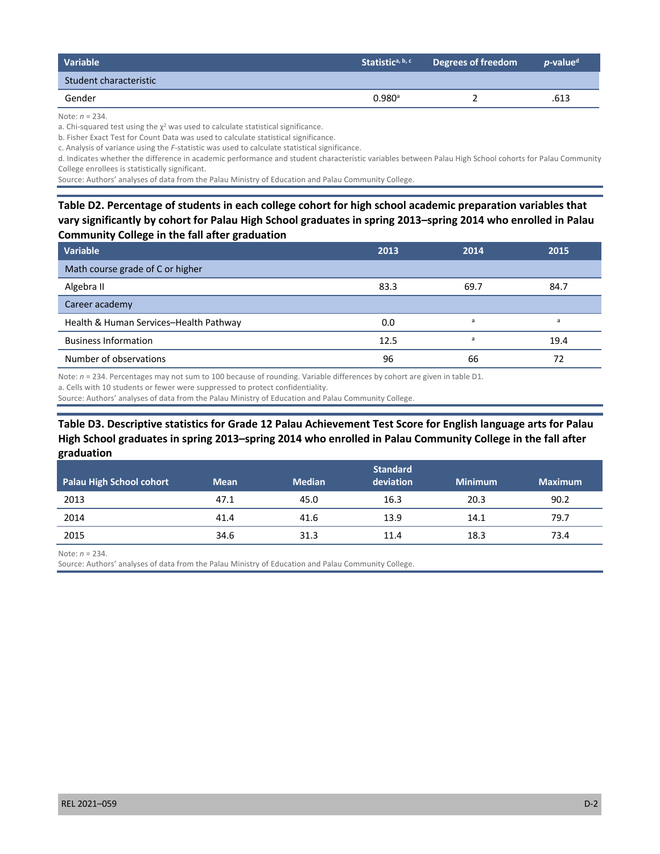| <b>Variable</b>        | Statistic <sup>a, b, c</sup> | Degrees of freedom | <i>p</i> -value <sup>d</sup> |
|------------------------|------------------------------|--------------------|------------------------------|
| Student characteristic |                              |                    |                              |
| Gender                 | $0.980^{\circ}$              |                    | .613                         |

Note: *n* = 234.

a. Chi-squared test using the  $\chi^2$  was used to calculate statistical significance.

b. Fisher Exact Test for Count Data was used to calculate statistical significance.

c. Analysis of variance using the *F-*statistic was used to calculate statistical significance.

 d. Indicates whether the difference in academic performance and student characteristic variables between Palau High School cohorts for Palau Community College enrollees is statistically significant.

Source: Authors' analyses of data from the Palau Ministry of Education and Palau Community College.

 **Table D2. Percentage of students in each college cohort for high school academic preparation variables that vary significantly by cohort for Palau High School graduates in spring 2013–spring 2014 who enrolled in Palau Community College in the fall after graduation** 

| Variable                               | 2013 | 2014           | 2015 |
|----------------------------------------|------|----------------|------|
| Math course grade of C or higher       |      |                |      |
| Algebra II                             | 83.3 | 69.7           | 84.7 |
| Career academy                         |      |                |      |
| Health & Human Services-Health Pathway | 0.0  | a              | a    |
| <b>Business Information</b>            | 12.5 | $\overline{a}$ | 19.4 |
| Number of observations                 | 96   | 66             | 72   |

Note: *n* = 234. Percentages may not sum to 100 because of rounding. Variable differences by cohort are given in table D1.

a. Cells with 10 students or fewer were suppressed to protect confidentiality.

Source: Authors' analyses of data from the Palau Ministry of Education and Palau Community College.

## **Table D3. Descriptive statistics for Grade 12 Palau Achievement Test Score for English language arts for Palau High School graduates in spring 2013–spring 2014 who enrolled in Palau Community College in the fall after**  graduation

| graduation               |             |               |                              |                |                |
|--------------------------|-------------|---------------|------------------------------|----------------|----------------|
| Palau High School cohort | <b>Mean</b> | <b>Median</b> | <b>Standard</b><br>deviation | <b>Minimum</b> | <b>Maximum</b> |
| 2013                     | 47.1        | 45.0          | 16.3                         | 20.3           | 90.2           |
| 2014                     | 41.4        | 41.6          | 13.9                         | 14.1           | 79.7           |
| 2015                     | 34.6        | 31.3          | 11.4                         | 18.3           | 73.4           |

Note: *n* = 234.